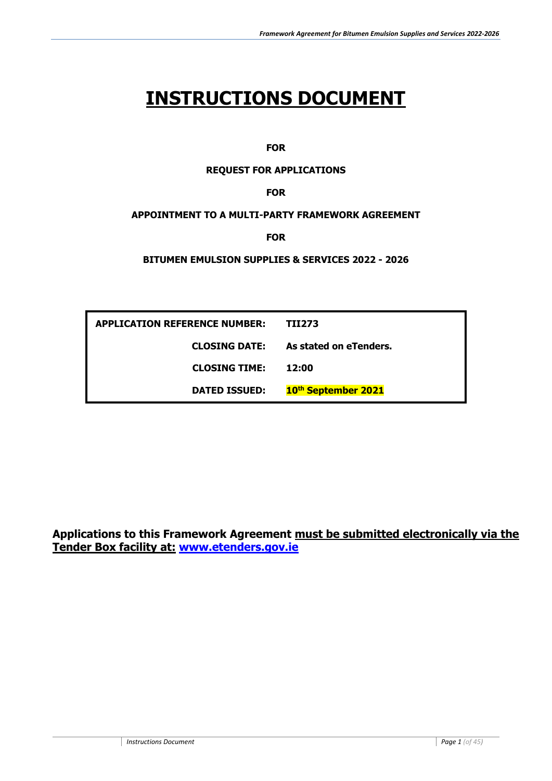# **INSTRUCTIONS DOCUMENT**

**FOR**

#### **REQUEST FOR APPLICATIONS**

#### **FOR**

#### **APPOINTMENT TO A MULTI-PARTY FRAMEWORK AGREEMENT**

**FOR**

#### **BITUMEN EMULSION SUPPLIES & SERVICES 2022 - 2026**

| <b>APPLICATION REFERENCE NUMBER:</b> | TII273                          |
|--------------------------------------|---------------------------------|
| <b>CLOSING DATE:</b>                 | As stated on eTenders.          |
| <b>CLOSING TIME:</b>                 | 12:00                           |
| <b>DATED ISSUED:</b>                 | 10 <sup>th</sup> September 2021 |

**Applications to this Framework Agreement must be submitted electronically via the Tender Box facility at: [www.etenders.gov.ie](http://www.etenders.gov.ie/)**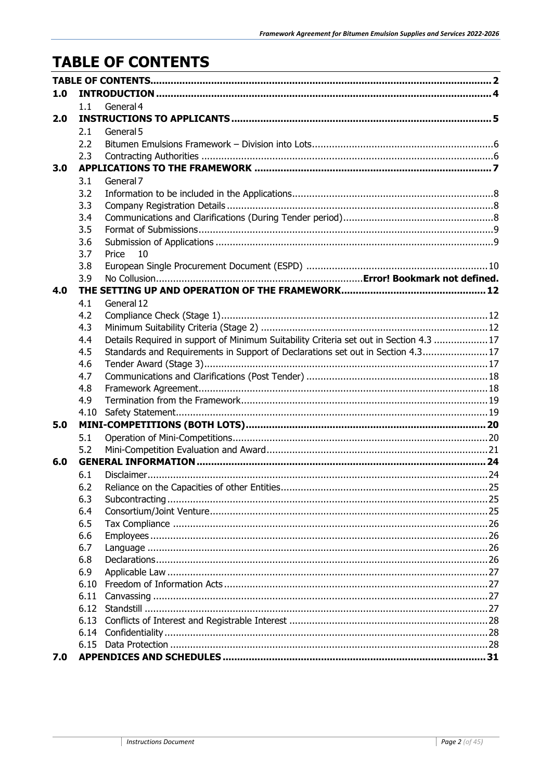# <span id="page-1-0"></span>**TABLE OF CONTENTS**

| 1.0 |            |                                                                                        |  |  |  |
|-----|------------|----------------------------------------------------------------------------------------|--|--|--|
|     | 1.1        | General 4                                                                              |  |  |  |
| 2.0 |            |                                                                                        |  |  |  |
|     | 2.1        | General 5                                                                              |  |  |  |
|     | 2.2        |                                                                                        |  |  |  |
|     | 2.3        |                                                                                        |  |  |  |
| 3.0 |            |                                                                                        |  |  |  |
|     | 3.1        | General 7                                                                              |  |  |  |
|     | 3.2        |                                                                                        |  |  |  |
|     | 3.3        |                                                                                        |  |  |  |
|     | 3.4        |                                                                                        |  |  |  |
|     | 3.5        |                                                                                        |  |  |  |
|     | 3.6        |                                                                                        |  |  |  |
|     | 3.7        | Price<br>10                                                                            |  |  |  |
|     | 3.8        |                                                                                        |  |  |  |
|     | 3.9        |                                                                                        |  |  |  |
| 4.0 |            |                                                                                        |  |  |  |
|     | 4.1        | General 12                                                                             |  |  |  |
|     | 4.2        |                                                                                        |  |  |  |
|     | 4.3        |                                                                                        |  |  |  |
|     | 4.4        | Details Required in support of Minimum Suitability Criteria set out in Section 4.3  17 |  |  |  |
|     | 4.5        | Standards and Requirements in Support of Declarations set out in Section 4.317         |  |  |  |
|     | 4.6        |                                                                                        |  |  |  |
|     | 4.7        |                                                                                        |  |  |  |
|     | 4.8        |                                                                                        |  |  |  |
|     | 4.9        |                                                                                        |  |  |  |
|     | 4.10       |                                                                                        |  |  |  |
| 5.0 |            |                                                                                        |  |  |  |
|     | 5.1        |                                                                                        |  |  |  |
|     | 5.2        |                                                                                        |  |  |  |
| 6.0 |            |                                                                                        |  |  |  |
|     | 6.1        |                                                                                        |  |  |  |
|     | 6.2        |                                                                                        |  |  |  |
|     | 6.3        |                                                                                        |  |  |  |
|     | 6.4        |                                                                                        |  |  |  |
|     | 6.5        |                                                                                        |  |  |  |
|     | 6.6<br>6.7 |                                                                                        |  |  |  |
|     | 6.8        |                                                                                        |  |  |  |
|     | 6.9        |                                                                                        |  |  |  |
|     | 6.10       |                                                                                        |  |  |  |
|     | 6.11       |                                                                                        |  |  |  |
|     | 6.12       |                                                                                        |  |  |  |
|     |            |                                                                                        |  |  |  |
|     |            |                                                                                        |  |  |  |
|     |            |                                                                                        |  |  |  |
| 7.0 |            |                                                                                        |  |  |  |
|     |            |                                                                                        |  |  |  |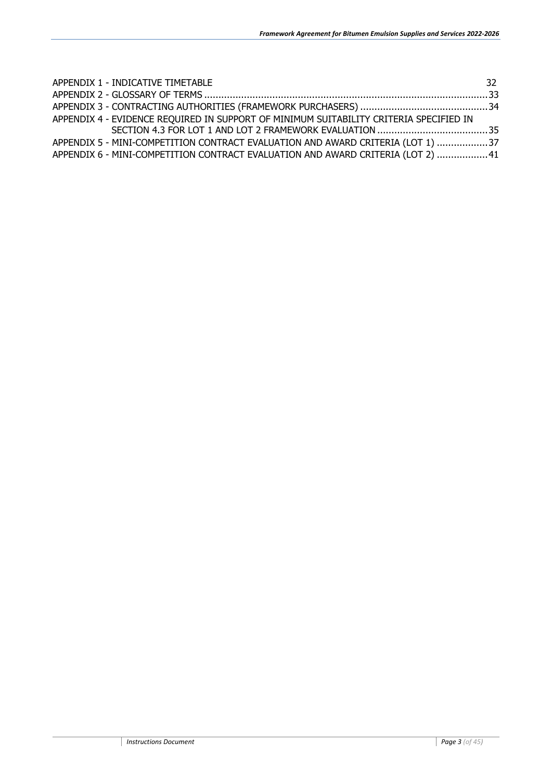| APPENDIX 1 - INDICATIVE TIMETABLE                                                      | 32. |
|----------------------------------------------------------------------------------------|-----|
|                                                                                        |     |
|                                                                                        |     |
| APPENDIX 4 - EVIDENCE REQUIRED IN SUPPORT OF MINIMUM SUITABILITY CRITERIA SPECIFIED IN |     |
|                                                                                        |     |
| APPENDIX 5 - MINI-COMPETITION CONTRACT EVALUATION AND AWARD CRITERIA (LOT 1) 37        |     |
| APPENDIX 6 - MINI-COMPETITION CONTRACT EVALUATION AND AWARD CRITERIA (LOT 2) 41        |     |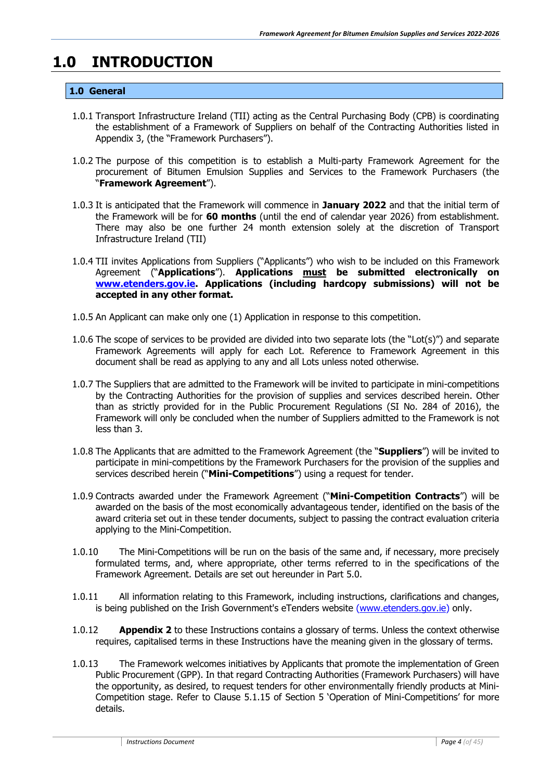# <span id="page-3-1"></span><span id="page-3-0"></span>**1.0 INTRODUCTION**

#### **1.0 General**

- 1.0.1 Transport Infrastructure Ireland (TII) acting as the Central Purchasing Body (CPB) is coordinating the establishment of a Framework of Suppliers on behalf of the Contracting Authorities listed in Appendix 3, (the "Framework Purchasers").
- 1.0.2 The purpose of this competition is to establish a Multi-party Framework Agreement for the procurement of Bitumen Emulsion Supplies and Services to the Framework Purchasers (the "**Framework Agreement**").
- 1.0.3 It is anticipated that the Framework will commence in **January 2022** and that the initial term of the Framework will be for **60 months** (until the end of calendar year 2026) from establishment. There may also be one further 24 month extension solely at the discretion of Transport Infrastructure Ireland (TII)
- 1.0.4 TII invites Applications from Suppliers ("Applicants") who wish to be included on this Framework Agreement ("**Applications**"). **Applications must be submitted electronically on [www.etenders.gov.ie.](http://www.etenders.gov.ie/) Applications (including hardcopy submissions) will not be accepted in any other format.**
- 1.0.5 An Applicant can make only one (1) Application in response to this competition.
- 1.0.6 The scope of services to be provided are divided into two separate lots (the "Lot(s)") and separate Framework Agreements will apply for each Lot. Reference to Framework Agreement in this document shall be read as applying to any and all Lots unless noted otherwise.
- 1.0.7 The Suppliers that are admitted to the Framework will be invited to participate in mini-competitions by the Contracting Authorities for the provision of supplies and services described herein. Other than as strictly provided for in the Public Procurement Regulations (SI No. 284 of 2016), the Framework will only be concluded when the number of Suppliers admitted to the Framework is not less than 3.
- 1.0.8 The Applicants that are admitted to the Framework Agreement (the "**Suppliers**") will be invited to participate in mini-competitions by the Framework Purchasers for the provision of the supplies and services described herein ("**Mini-Competitions**") using a request for tender.
- 1.0.9 Contracts awarded under the Framework Agreement ("**Mini-Competition Contracts**") will be awarded on the basis of the most economically advantageous tender, identified on the basis of the award criteria set out in these tender documents, subject to passing the contract evaluation criteria applying to the Mini-Competition.
- 1.0.10 The Mini-Competitions will be run on the basis of the same and, if necessary, more precisely formulated terms, and, where appropriate, other terms referred to in the specifications of the Framework Agreement. Details are set out hereunder in Part 5.0.
- 1.0.11 All information relating to this Framework, including instructions, clarifications and changes, is being published on the Irish Government's eTenders website [\(www.etenders.gov.ie\)](http://www.etenders.gov.ie/) only.
- 1.0.12 **Appendix 2** to these Instructions contains a glossary of terms. Unless the context otherwise requires, capitalised terms in these Instructions have the meaning given in the glossary of terms.
- 1.0.13 The Framework welcomes initiatives by Applicants that promote the implementation of Green Public Procurement (GPP). In that regard Contracting Authorities (Framework Purchasers) will have the opportunity, as desired, to request tenders for other environmentally friendly products at Mini-Competition stage. Refer to Clause 5.1.15 of Section 5 'Operation of Mini-Competitions' for more details.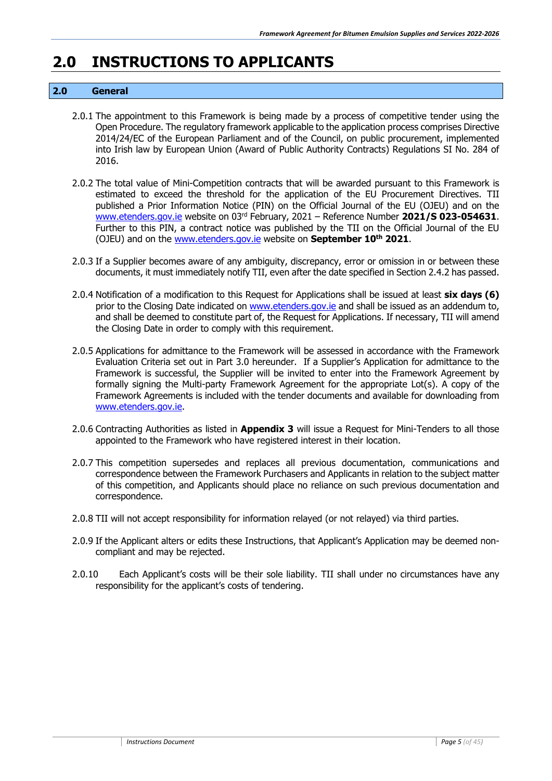# <span id="page-4-0"></span>**2.0 INSTRUCTIONS TO APPLICANTS**

#### <span id="page-4-1"></span>**2.0 General**

- 2.0.1 The appointment to this Framework is being made by a process of competitive tender using the Open Procedure. The regulatory framework applicable to the application process comprises Directive 2014/24/EC of the European Parliament and of the Council, on public procurement, implemented into Irish law by European Union (Award of Public Authority Contracts) Regulations SI No. 284 of 2016.
- 2.0.2 The total value of Mini-Competition contracts that will be awarded pursuant to this Framework is estimated to exceed the threshold for the application of the EU Procurement Directives. TII published a Prior Information Notice (PIN) on the Official Journal of the EU (OJEU) and on the www.etenders.gov.ie website on 03rd February, 2021 – Reference Number **2021/S 023-054631**. Further to this PIN, a contract notice was published by the TII on the Official Journal of the EU (OJEU) and on the www.etenders.gov.ie website on **September 10th 2021**.
- 2.0.3 If a Supplier becomes aware of any ambiguity, discrepancy, error or omission in or between these documents, it must immediately notify TII, even after the date specified in Section 2.4.2 has passed.
- 2.0.4 Notification of a modification to this Request for Applications shall be issued at least **six days (6)** prior to the Closing Date indicated on www.etenders.gov.ie and shall be issued as an addendum to, and shall be deemed to constitute part of, the Request for Applications. If necessary, TII will amend the Closing Date in order to comply with this requirement.
- 2.0.5 Applications for admittance to the Framework will be assessed in accordance with the Framework Evaluation Criteria set out in Part 3.0 hereunder. If a Supplier's Application for admittance to the Framework is successful, the Supplier will be invited to enter into the Framework Agreement by formally signing the Multi-party Framework Agreement for the appropriate Lot(s). A copy of the Framework Agreements is included with the tender documents and available for downloading from www.etenders.gov.ie.
- 2.0.6 Contracting Authorities as listed in **Appendix 3** will issue a Request for Mini-Tenders to all those appointed to the Framework who have registered interest in their location.
- 2.0.7 This competition supersedes and replaces all previous documentation, communications and correspondence between the Framework Purchasers and Applicants in relation to the subject matter of this competition, and Applicants should place no reliance on such previous documentation and correspondence.
- 2.0.8 TII will not accept responsibility for information relayed (or not relayed) via third parties.
- 2.0.9 If the Applicant alters or edits these Instructions, that Applicant's Application may be deemed noncompliant and may be rejected.
- 2.0.10 Each Applicant's costs will be their sole liability. TII shall under no circumstances have any responsibility for the applicant's costs of tendering.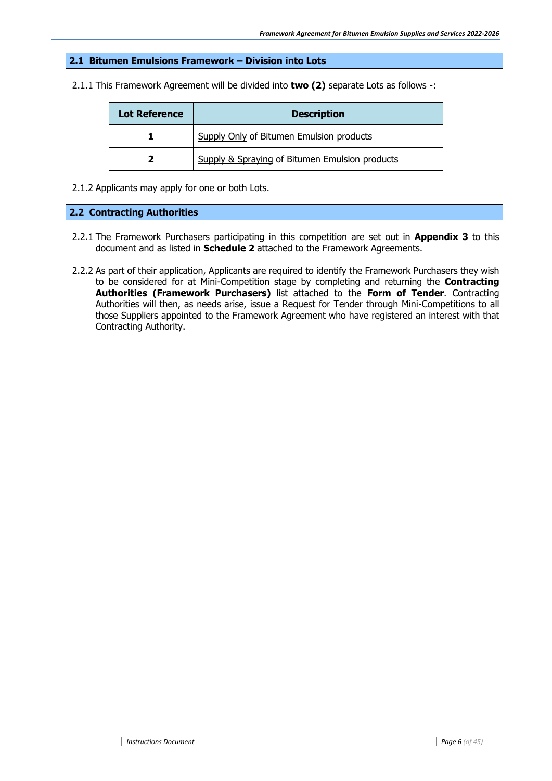#### <span id="page-5-0"></span>**2.1 Bitumen Emulsions Framework – Division into Lots**

2.1.1 This Framework Agreement will be divided into **two (2)** separate Lots as follows -:

| <b>Lot Reference</b> | <b>Description</b>                             |  |
|----------------------|------------------------------------------------|--|
|                      | Supply Only of Bitumen Emulsion products       |  |
|                      | Supply & Spraying of Bitumen Emulsion products |  |

2.1.2 Applicants may apply for one or both Lots.

#### <span id="page-5-1"></span>**2.2 Contracting Authorities**

- 2.2.1 The Framework Purchasers participating in this competition are set out in **Appendix 3** to this document and as listed in **Schedule 2** attached to the Framework Agreements.
- 2.2.2 As part of their application, Applicants are required to identify the Framework Purchasers they wish to be considered for at Mini-Competition stage by completing and returning the **Contracting Authorities (Framework Purchasers)** list attached to the **Form of Tender**. Contracting Authorities will then, as needs arise, issue a Request for Tender through Mini-Competitions to all those Suppliers appointed to the Framework Agreement who have registered an interest with that Contracting Authority.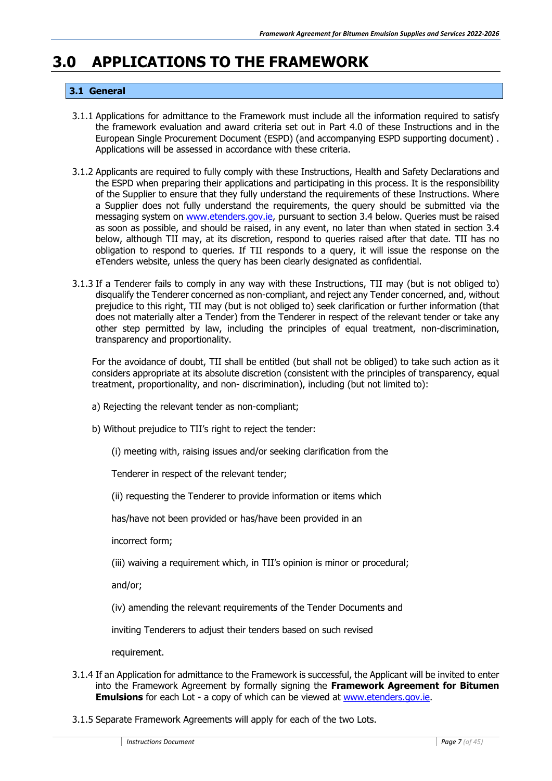### <span id="page-6-1"></span><span id="page-6-0"></span>**3.0 APPLICATIONS TO THE FRAMEWORK**

#### **3.1 General**

- 3.1.1 Applications for admittance to the Framework must include all the information required to satisfy the framework evaluation and award criteria set out in Part 4.0 of these Instructions and in the European Single Procurement Document (ESPD) (and accompanying ESPD supporting document) . Applications will be assessed in accordance with these criteria.
- 3.1.2 Applicants are required to fully comply with these Instructions, Health and Safety Declarations and the ESPD when preparing their applications and participating in this process. It is the responsibility of the Supplier to ensure that they fully understand the requirements of these Instructions. Where a Supplier does not fully understand the requirements, the query should be submitted via the messaging system on [www.etenders.gov.ie,](http://www.etenders.gov.ie/) pursuant to section 3.4 below. Queries must be raised as soon as possible, and should be raised, in any event, no later than when stated in section 3.4 below, although TII may, at its discretion, respond to queries raised after that date. TII has no obligation to respond to queries. If TII responds to a query, it will issue the response on the eTenders website, unless the query has been clearly designated as confidential.
- 3.1.3 If a Tenderer fails to comply in any way with these Instructions, TII may (but is not obliged to) disqualify the Tenderer concerned as non-compliant, and reject any Tender concerned, and, without prejudice to this right, TII may (but is not obliged to) seek clarification or further information (that does not materially alter a Tender) from the Tenderer in respect of the relevant tender or take any other step permitted by law, including the principles of equal treatment, non-discrimination, transparency and proportionality.

For the avoidance of doubt, TII shall be entitled (but shall not be obliged) to take such action as it considers appropriate at its absolute discretion (consistent with the principles of transparency, equal treatment, proportionality, and non- discrimination), including (but not limited to):

- a) Rejecting the relevant tender as non-compliant;
- b) Without prejudice to TII's right to reject the tender:
	- (i) meeting with, raising issues and/or seeking clarification from the

Tenderer in respect of the relevant tender;

(ii) requesting the Tenderer to provide information or items which

has/have not been provided or has/have been provided in an

incorrect form;

(iii) waiving a requirement which, in TII's opinion is minor or procedural;

and/or;

(iv) amending the relevant requirements of the Tender Documents and

inviting Tenderers to adjust their tenders based on such revised

requirement.

- 3.1.4 If an Application for admittance to the Framework is successful, the Applicant will be invited to enter into the Framework Agreement by formally signing the **Framework Agreement for Bitumen Emulsions** for each Lot - a copy of which can be viewed at www.etenders.gov.je.
- 3.1.5 Separate Framework Agreements will apply for each of the two Lots.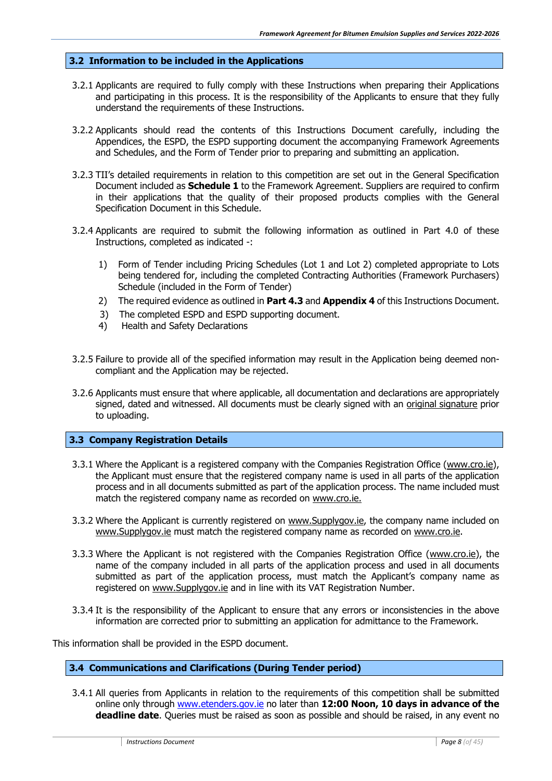#### <span id="page-7-0"></span>**3.2 Information to be included in the Applications**

- 3.2.1 Applicants are required to fully comply with these Instructions when preparing their Applications and participating in this process. It is the responsibility of the Applicants to ensure that they fully understand the requirements of these Instructions.
- 3.2.2 Applicants should read the contents of this Instructions Document carefully, including the Appendices, the ESPD, the ESPD supporting document the accompanying Framework Agreements and Schedules, and the Form of Tender prior to preparing and submitting an application.
- 3.2.3 TII's detailed requirements in relation to this competition are set out in the General Specification Document included as **Schedule 1** to the Framework Agreement. Suppliers are required to confirm in their applications that the quality of their proposed products complies with the General Specification Document in this Schedule.
- 3.2.4 Applicants are required to submit the following information as outlined in Part 4.0 of these Instructions, completed as indicated -:
	- 1) Form of Tender including Pricing Schedules (Lot 1 and Lot 2) completed appropriate to Lots being tendered for, including the completed Contracting Authorities (Framework Purchasers) Schedule (included in the Form of Tender)
	- 2) The required evidence as outlined in **Part 4.3** and **Appendix 4** of this Instructions Document.
	- 3) The completed ESPD and ESPD supporting document.
	- 4) Health and Safety Declarations
- 3.2.5 Failure to provide all of the specified information may result in the Application being deemed noncompliant and the Application may be rejected.
- 3.2.6 Applicants must ensure that where applicable, all documentation and declarations are appropriately signed, dated and witnessed. All documents must be clearly signed with an original signature prior to uploading.

#### <span id="page-7-1"></span>**3.3 Company Registration Details**

- 3.3.1 Where the Applicant is a registered company with the Companies Registration Office [\(www.cro.ie\)](http://www.cro.ie/), the Applicant must ensure that the registered company name is used in all parts of the application process and in all documents submitted as part of the application process. The name included must match the registered company name as recorded on [www.cro.ie.](http://www.cro.ie/)
- 3.3.2 Where the Applicant is currently registered on [www.Supplygov.ie,](http://www.supplygov.ie/) the company name included on [www.Supplygov.ie](http://www.supplygov.ie/) must match the registered company name as recorded on [www.cro.ie.](http://www.cro.ie/)
- 3.3.3 Where the Applicant is not registered with the Companies Registration Office [\(www.cro.ie\)](http://www.cro.ie/), the name of the company included in all parts of the application process and used in all documents submitted as part of the application process, must match the Applicant's company name as registered on [www.Supplygov.ie](http://www.supplygov.ie/) and in line with its VAT Registration Number.
- 3.3.4 It is the responsibility of the Applicant to ensure that any errors or inconsistencies in the above information are corrected prior to submitting an application for admittance to the Framework.

<span id="page-7-2"></span>This information shall be provided in the ESPD document.

#### **3.4 Communications and Clarifications (During Tender period)**

3.4.1 All queries from Applicants in relation to the requirements of this competition shall be submitted online only through [www.etenders.gov.ie](http://www.etenders.gov.ie/) no later than **12:00 Noon, 10 days in advance of the deadline date**. Queries must be raised as soon as possible and should be raised, in any event no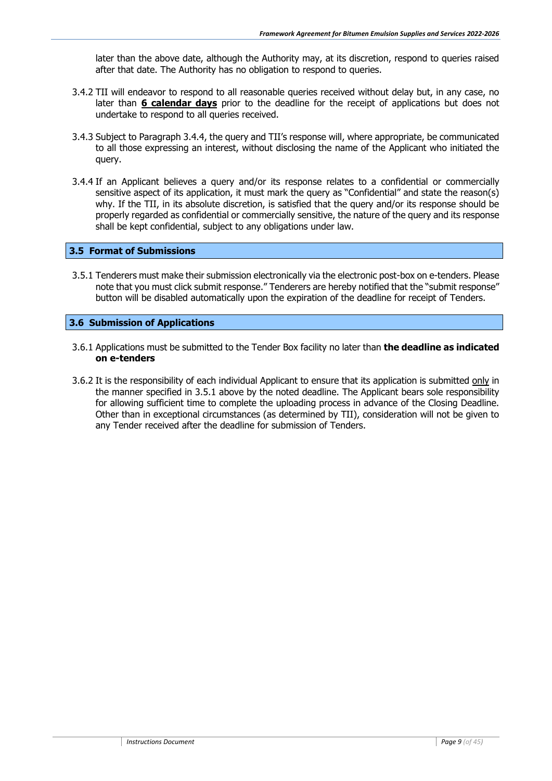later than the above date, although the Authority may, at its discretion, respond to queries raised after that date. The Authority has no obligation to respond to queries.

- 3.4.2 TII will endeavor to respond to all reasonable queries received without delay but, in any case, no later than **6 calendar days** prior to the deadline for the receipt of applications but does not undertake to respond to all queries received.
- 3.4.3 Subject to Paragraph 3.4.4, the query and TII's response will, where appropriate, be communicated to all those expressing an interest, without disclosing the name of the Applicant who initiated the query.
- 3.4.4 If an Applicant believes a query and/or its response relates to a confidential or commercially sensitive aspect of its application, it must mark the query as "Confidential" and state the reason(s) why. If the TII, in its absolute discretion, is satisfied that the query and/or its response should be properly regarded as confidential or commercially sensitive, the nature of the query and its response shall be kept confidential, subject to any obligations under law.

#### <span id="page-8-0"></span>**3.5 Format of Submissions**

3.5.1 Tenderers must make their submission electronically via the electronic post-box on e-tenders. Please note that you must click submit response." Tenderers are hereby notified that the "submit response" button will be disabled automatically upon the expiration of the deadline for receipt of Tenders.

#### <span id="page-8-1"></span>**3.6 Submission of Applications**

- 3.6.1 Applications must be submitted to the Tender Box facility no later than **the deadline as indicated on e-tenders**
- 3.6.2 It is the responsibility of each individual Applicant to ensure that its application is submitted only in the manner specified in 3.5.1 above by the noted deadline. The Applicant bears sole responsibility for allowing sufficient time to complete the uploading process in advance of the Closing Deadline. Other than in exceptional circumstances (as determined by TII), consideration will not be given to any Tender received after the deadline for submission of Tenders.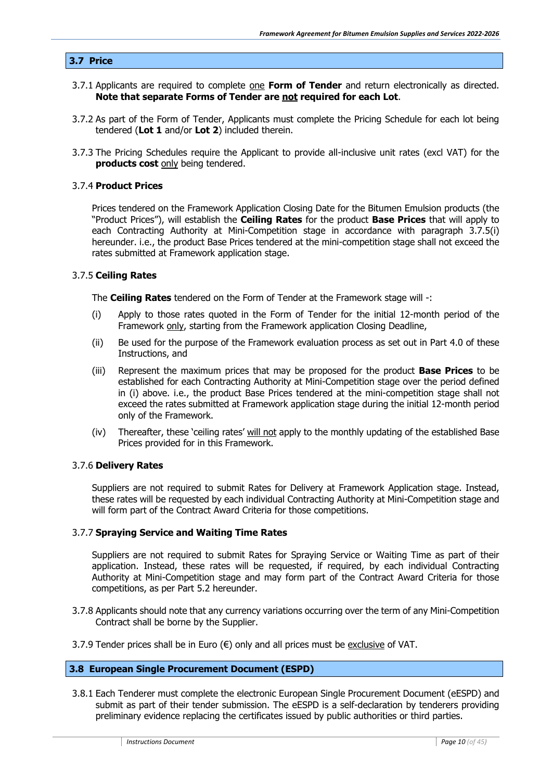#### <span id="page-9-0"></span>**3.7 Price**

- 3.7.1 Applicants are required to complete one **Form of Tender** and return electronically as directed. **Note that separate Forms of Tender are not required for each Lot**.
- 3.7.2 As part of the Form of Tender, Applicants must complete the Pricing Schedule for each lot being tendered (**Lot 1** and/or **Lot 2**) included therein.
- 3.7.3 The Pricing Schedules require the Applicant to provide all-inclusive unit rates (excl VAT) for the **products cost** only being tendered.

#### 3.7.4 **Product Prices**

Prices tendered on the Framework Application Closing Date for the Bitumen Emulsion products (the "Product Prices"), will establish the **Ceiling Rates** for the product **Base Prices** that will apply to each Contracting Authority at Mini-Competition stage in accordance with paragraph 3.7.5(i) hereunder. i.e., the product Base Prices tendered at the mini-competition stage shall not exceed the rates submitted at Framework application stage.

#### 3.7.5 **Ceiling Rates**

The **Ceiling Rates** tendered on the Form of Tender at the Framework stage will -:

- (i) Apply to those rates quoted in the Form of Tender for the initial 12-month period of the Framework only, starting from the Framework application Closing Deadline,
- (ii) Be used for the purpose of the Framework evaluation process as set out in Part 4.0 of these Instructions, and
- (iii) Represent the maximum prices that may be proposed for the product **Base Prices** to be established for each Contracting Authority at Mini-Competition stage over the period defined in (i) above. i.e., the product Base Prices tendered at the mini-competition stage shall not exceed the rates submitted at Framework application stage during the initial 12-month period only of the Framework.
- (iv) Thereafter, these 'ceiling rates' will not apply to the monthly updating of the established Base Prices provided for in this Framework.

#### 3.7.6 **Delivery Rates**

Suppliers are not required to submit Rates for Delivery at Framework Application stage. Instead, these rates will be requested by each individual Contracting Authority at Mini-Competition stage and will form part of the Contract Award Criteria for those competitions.

#### 3.7.7 **Spraying Service and Waiting Time Rates**

Suppliers are not required to submit Rates for Spraying Service or Waiting Time as part of their application. Instead, these rates will be requested, if required, by each individual Contracting Authority at Mini-Competition stage and may form part of the Contract Award Criteria for those competitions, as per Part 5.2 hereunder.

- 3.7.8 Applicants should note that any currency variations occurring over the term of any Mini-Competition Contract shall be borne by the Supplier.
- 3.7.9 Tender prices shall be in Euro  $(\epsilon)$  only and all prices must be exclusive of VAT.

#### <span id="page-9-1"></span>**3.8 European Single Procurement Document (ESPD)**

3.8.1 Each Tenderer must complete the electronic European Single Procurement Document (eESPD) and submit as part of their tender submission. The eESPD is a self-declaration by tenderers providing preliminary evidence replacing the certificates issued by public authorities or third parties.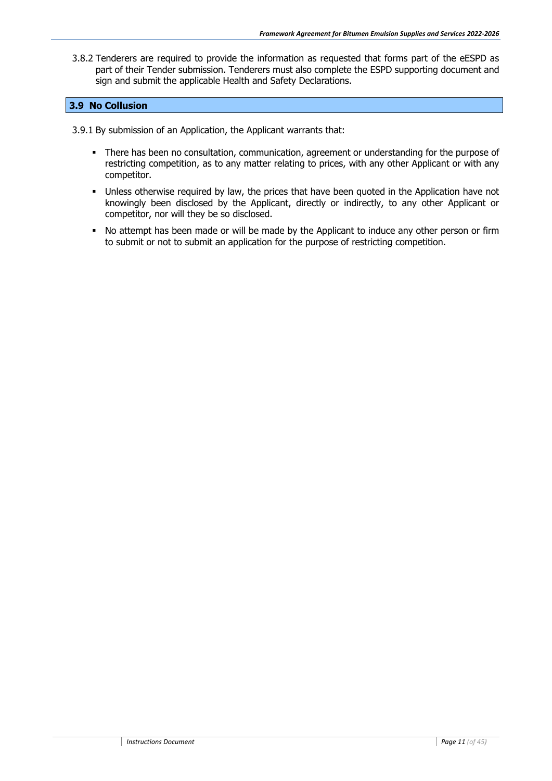3.8.2 Tenderers are required to provide the information as requested that forms part of the eESPD as part of their Tender submission. Tenderers must also complete the ESPD supporting document and sign and submit the applicable Health and Safety Declarations.

#### **3.9 No Collusion**

3.9.1 By submission of an Application, the Applicant warrants that:

- There has been no consultation, communication, agreement or understanding for the purpose of restricting competition, as to any matter relating to prices, with any other Applicant or with any competitor.
- Unless otherwise required by law, the prices that have been quoted in the Application have not knowingly been disclosed by the Applicant, directly or indirectly, to any other Applicant or competitor, nor will they be so disclosed.
- No attempt has been made or will be made by the Applicant to induce any other person or firm to submit or not to submit an application for the purpose of restricting competition.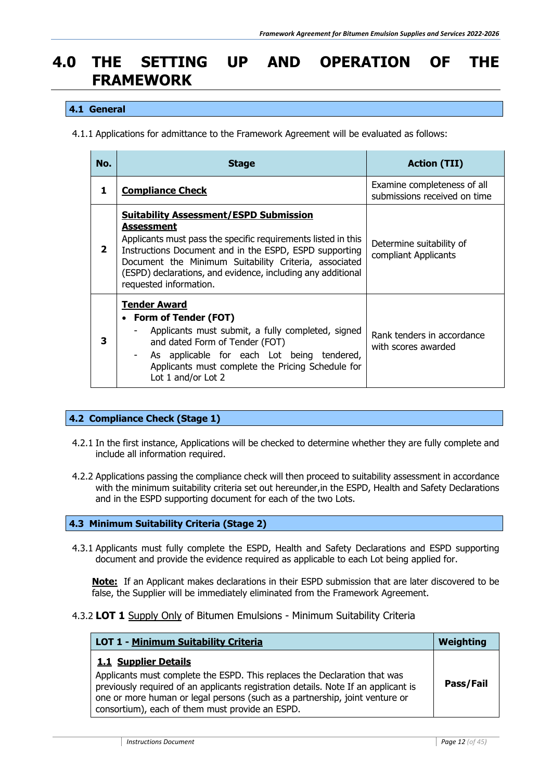# <span id="page-11-0"></span>**4.0 THE SETTING UP AND OPERATION OF THE FRAMEWORK**

#### <span id="page-11-1"></span>**4.1 General**

4.1.1 Applications for admittance to the Framework Agreement will be evaluated as follows:

| No.          | <b>Stage</b>                                                                                                                                                                                                                                                                                                                                    | <b>Action (TII)</b>                                         |
|--------------|-------------------------------------------------------------------------------------------------------------------------------------------------------------------------------------------------------------------------------------------------------------------------------------------------------------------------------------------------|-------------------------------------------------------------|
| 1            | <b>Compliance Check</b>                                                                                                                                                                                                                                                                                                                         | Examine completeness of all<br>submissions received on time |
| $\mathbf{2}$ | <b>Suitability Assessment/ESPD Submission</b><br><b>Assessment</b><br>Applicants must pass the specific requirements listed in this<br>Instructions Document and in the ESPD, ESPD supporting<br>Document the Minimum Suitability Criteria, associated<br>(ESPD) declarations, and evidence, including any additional<br>requested information. | Determine suitability of<br>compliant Applicants            |
| 3            | <b>Tender Award</b><br>• Form of Tender (FOT)<br>Applicants must submit, a fully completed, signed<br>and dated Form of Tender (FOT)<br>As applicable for each Lot being tendered,<br>Applicants must complete the Pricing Schedule for<br>Lot 1 and/or Lot 2                                                                                   | Rank tenders in accordance<br>with scores awarded           |

#### <span id="page-11-2"></span>**4.2 Compliance Check (Stage 1)**

- 4.2.1 In the first instance, Applications will be checked to determine whether they are fully complete and include all information required.
- 4.2.2 Applications passing the compliance check will then proceed to suitability assessment in accordance with the minimum suitability criteria set out hereunder, in the ESPD, Health and Safety Declarations and in the ESPD supporting document for each of the two Lots.

#### <span id="page-11-3"></span>**4.3 Minimum Suitability Criteria (Stage 2)**

4.3.1 Applicants must fully complete the ESPD, Health and Safety Declarations and ESPD supporting document and provide the evidence required as applicable to each Lot being applied for.

**Note:** If an Applicant makes declarations in their ESPD submission that are later discovered to be false, the Supplier will be immediately eliminated from the Framework Agreement.

#### 4.3.2 **LOT 1** Supply Only of Bitumen Emulsions - Minimum Suitability Criteria

| LOT 1 - Minimum Suitability Criteria                                                                                                                                                                                                                                                                                      | Weighting |
|---------------------------------------------------------------------------------------------------------------------------------------------------------------------------------------------------------------------------------------------------------------------------------------------------------------------------|-----------|
| 1.1 Supplier Details<br>Applicants must complete the ESPD. This replaces the Declaration that was<br>previously required of an applicants registration details. Note If an applicant is<br>one or more human or legal persons (such as a partnership, joint venture or<br>consortium), each of them must provide an ESPD. | Pass/Fail |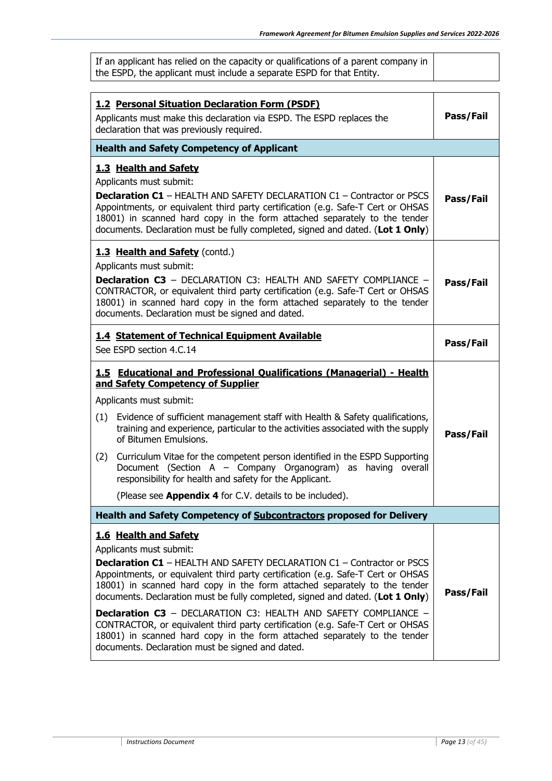| If an applicant has relied on the capacity or qualifications of a parent company in |
|-------------------------------------------------------------------------------------|
| the ESPD, the applicant must include a separate ESPD for that Entity.               |

| <b>1.2 Personal Situation Declaration Form (PSDF)</b><br>Applicants must make this declaration via ESPD. The ESPD replaces the<br>declaration that was previously required. |                                                                                                                                                                                                                                                                                                                                                                                                                                                                                                                                                                                                                                                                                   | Pass/Fail |
|-----------------------------------------------------------------------------------------------------------------------------------------------------------------------------|-----------------------------------------------------------------------------------------------------------------------------------------------------------------------------------------------------------------------------------------------------------------------------------------------------------------------------------------------------------------------------------------------------------------------------------------------------------------------------------------------------------------------------------------------------------------------------------------------------------------------------------------------------------------------------------|-----------|
|                                                                                                                                                                             | <b>Health and Safety Competency of Applicant</b>                                                                                                                                                                                                                                                                                                                                                                                                                                                                                                                                                                                                                                  |           |
|                                                                                                                                                                             | 1.3 Health and Safety<br>Applicants must submit:<br><b>Declaration C1</b> - HEALTH AND SAFETY DECLARATION C1 - Contractor or PSCS<br>Appointments, or equivalent third party certification (e.g. Safe-T Cert or OHSAS<br>18001) in scanned hard copy in the form attached separately to the tender<br>documents. Declaration must be fully completed, signed and dated. (Lot 1 Only)                                                                                                                                                                                                                                                                                              |           |
|                                                                                                                                                                             | 1.3 Health and Safety (contd.)<br>Applicants must submit:<br><b>Declaration C3</b> - DECLARATION C3: HEALTH AND SAFETY COMPLIANCE -<br>CONTRACTOR, or equivalent third party certification (e.g. Safe-T Cert or OHSAS<br>18001) in scanned hard copy in the form attached separately to the tender<br>documents. Declaration must be signed and dated.                                                                                                                                                                                                                                                                                                                            | Pass/Fail |
|                                                                                                                                                                             | 1.4 Statement of Technical Equipment Available<br>See ESPD section 4.C.14                                                                                                                                                                                                                                                                                                                                                                                                                                                                                                                                                                                                         | Pass/Fail |
| (1)<br>(2)                                                                                                                                                                  | 1.5 Educational and Professional Qualifications (Managerial) - Health<br>and Safety Competency of Supplier<br>Applicants must submit:<br>Evidence of sufficient management staff with Health & Safety qualifications,<br>training and experience, particular to the activities associated with the supply<br>of Bitumen Emulsions.<br>Curriculum Vitae for the competent person identified in the ESPD Supporting<br>Document (Section A - Company Organogram) as having overall<br>responsibility for health and safety for the Applicant.<br>(Please see Appendix 4 for C.V. details to be included).                                                                           | Pass/Fail |
|                                                                                                                                                                             | Health and Safety Competency of Subcontractors proposed for Delivery                                                                                                                                                                                                                                                                                                                                                                                                                                                                                                                                                                                                              |           |
|                                                                                                                                                                             | 1.6 Health and Safety<br>Applicants must submit:<br><b>Declaration C1</b> - HEALTH AND SAFETY DECLARATION C1 - Contractor or PSCS<br>Appointments, or equivalent third party certification (e.g. Safe-T Cert or OHSAS<br>18001) in scanned hard copy in the form attached separately to the tender<br>documents. Declaration must be fully completed, signed and dated. (Lot 1 Only)<br><b>Declaration C3</b> - DECLARATION C3: HEALTH AND SAFETY COMPLIANCE -<br>CONTRACTOR, or equivalent third party certification (e.g. Safe-T Cert or OHSAS<br>18001) in scanned hard copy in the form attached separately to the tender<br>documents. Declaration must be signed and dated. | Pass/Fail |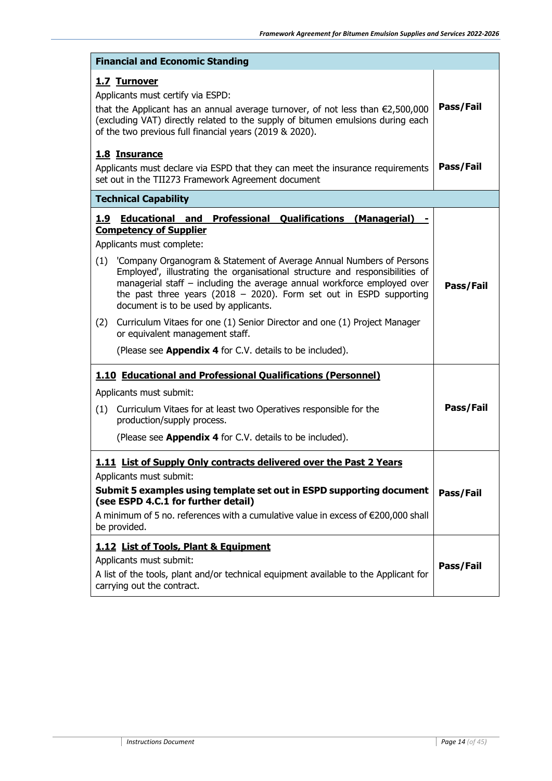|                             | <b>Financial and Economic Standing</b>                                                                                                                                                                                                                                                                                                                                                                                                                                                                                                                                                                                                                                               |           |
|-----------------------------|--------------------------------------------------------------------------------------------------------------------------------------------------------------------------------------------------------------------------------------------------------------------------------------------------------------------------------------------------------------------------------------------------------------------------------------------------------------------------------------------------------------------------------------------------------------------------------------------------------------------------------------------------------------------------------------|-----------|
| 1.7 Turnover                | Applicants must certify via ESPD:<br>that the Applicant has an annual average turnover, of not less than $\epsilon$ 2,500,000<br>(excluding VAT) directly related to the supply of bitumen emulsions during each<br>of the two previous full financial years (2019 & 2020).                                                                                                                                                                                                                                                                                                                                                                                                          | Pass/Fail |
| 1.8 Insurance               | Applicants must declare via ESPD that they can meet the insurance requirements<br>set out in the TII273 Framework Agreement document                                                                                                                                                                                                                                                                                                                                                                                                                                                                                                                                                 | Pass/Fail |
| <b>Technical Capability</b> |                                                                                                                                                                                                                                                                                                                                                                                                                                                                                                                                                                                                                                                                                      |           |
| 1.9<br>(2)                  | <b>Professional Qualifications</b><br><b>Educational and</b><br>(Managerial)<br><b>Competency of Supplier</b><br>Applicants must complete:<br>(1) 'Company Organogram & Statement of Average Annual Numbers of Persons<br>Employed', illustrating the organisational structure and responsibilities of<br>managerial staff - including the average annual workforce employed over<br>the past three years (2018 - 2020). Form set out in ESPD supporting<br>document is to be used by applicants.<br>Curriculum Vitaes for one (1) Senior Director and one (1) Project Manager<br>or equivalent management staff.<br>(Please see <b>Appendix 4</b> for C.V. details to be included). | Pass/Fail |
|                             | 1.10 Educational and Professional Qualifications (Personnel)<br>Applicants must submit:                                                                                                                                                                                                                                                                                                                                                                                                                                                                                                                                                                                              |           |
| (1)                         | Curriculum Vitaes for at least two Operatives responsible for the<br>production/supply process.<br>(Please see <b>Appendix 4</b> for C.V. details to be included).                                                                                                                                                                                                                                                                                                                                                                                                                                                                                                                   | Pass/Fail |
| be provided.                | 1.11 List of Supply Only contracts delivered over the Past 2 Years<br>Applicants must submit:<br>Submit 5 examples using template set out in ESPD supporting document<br>(see ESPD 4.C.1 for further detail)<br>A minimum of 5 no. references with a cumulative value in excess of €200,000 shall                                                                                                                                                                                                                                                                                                                                                                                    | Pass/Fail |
|                             | 1.12 List of Tools, Plant & Equipment<br>Applicants must submit:<br>A list of the tools, plant and/or technical equipment available to the Applicant for<br>carrying out the contract.                                                                                                                                                                                                                                                                                                                                                                                                                                                                                               | Pass/Fail |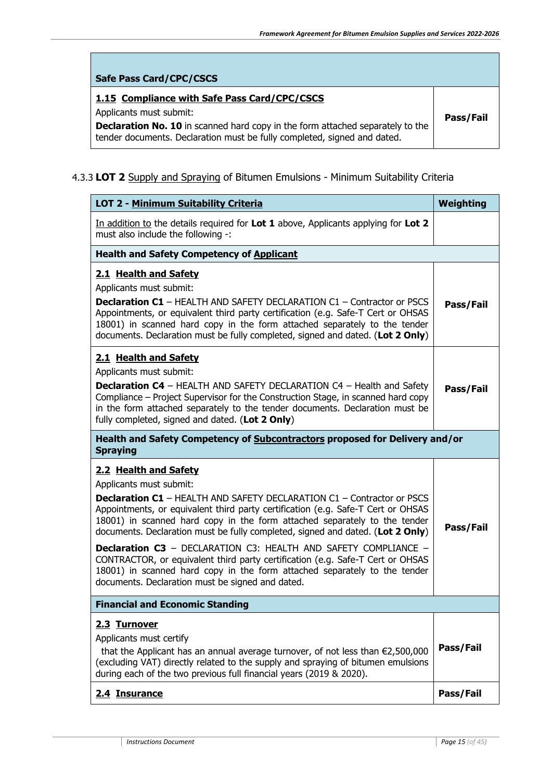| <b>Safe Pass Card/CPC/CSCS</b>                                                                                                                                    |           |
|-------------------------------------------------------------------------------------------------------------------------------------------------------------------|-----------|
| 1.15 Compliance with Safe Pass Card/CPC/CSCS                                                                                                                      |           |
| Applicants must submit:                                                                                                                                           | Pass/Fail |
| <b>Declaration No. 10</b> in scanned hard copy in the form attached separately to the<br>tender documents. Declaration must be fully completed, signed and dated. |           |

#### 4.3.3 **LOT 2** Supply and Spraying of Bitumen Emulsions - Minimum Suitability Criteria

r.

| LOT 2 - Minimum Suitability Criteria                                                                                                                                                                                                                                                                                                                                                                                                                                                                                                                                                                                                                                              | <b>Weighting</b> |
|-----------------------------------------------------------------------------------------------------------------------------------------------------------------------------------------------------------------------------------------------------------------------------------------------------------------------------------------------------------------------------------------------------------------------------------------------------------------------------------------------------------------------------------------------------------------------------------------------------------------------------------------------------------------------------------|------------------|
| In addition to the details required for Lot 1 above, Applicants applying for Lot 2<br>must also include the following -:                                                                                                                                                                                                                                                                                                                                                                                                                                                                                                                                                          |                  |
| <b>Health and Safety Competency of Applicant</b>                                                                                                                                                                                                                                                                                                                                                                                                                                                                                                                                                                                                                                  |                  |
| 2.1 Health and Safety<br>Applicants must submit:<br><b>Declaration C1</b> - HEALTH AND SAFETY DECLARATION C1 - Contractor or PSCS<br>Appointments, or equivalent third party certification (e.g. Safe-T Cert or OHSAS<br>18001) in scanned hard copy in the form attached separately to the tender<br>documents. Declaration must be fully completed, signed and dated. (Lot 2 Only)                                                                                                                                                                                                                                                                                              | Pass/Fail        |
| 2.1 Health and Safety<br>Applicants must submit:<br><b>Declaration C4</b> - HEALTH AND SAFETY DECLARATION C4 - Health and Safety<br>Compliance – Project Supervisor for the Construction Stage, in scanned hard copy<br>in the form attached separately to the tender documents. Declaration must be<br>fully completed, signed and dated. (Lot 2 Only)                                                                                                                                                                                                                                                                                                                           | Pass/Fail        |
| Health and Safety Competency of Subcontractors proposed for Delivery and/or<br><b>Spraying</b>                                                                                                                                                                                                                                                                                                                                                                                                                                                                                                                                                                                    |                  |
| 2.2 Health and Safety<br>Applicants must submit:<br><b>Declaration C1</b> - HEALTH AND SAFETY DECLARATION C1 - Contractor or PSCS<br>Appointments, or equivalent third party certification (e.g. Safe-T Cert or OHSAS<br>18001) in scanned hard copy in the form attached separately to the tender<br>documents. Declaration must be fully completed, signed and dated. (Lot 2 Only)<br><b>Declaration C3</b> - DECLARATION C3: HEALTH AND SAFETY COMPLIANCE -<br>CONTRACTOR, or equivalent third party certification (e.g. Safe-T Cert or OHSAS<br>18001) in scanned hard copy in the form attached separately to the tender<br>documents. Declaration must be signed and dated. | Pass/Fail        |
| <b>Financial and Economic Standing</b>                                                                                                                                                                                                                                                                                                                                                                                                                                                                                                                                                                                                                                            |                  |
| 2.3 Turnover<br>Applicants must certify<br>that the Applicant has an annual average turnover, of not less than $\epsilon$ 2,500,000<br>(excluding VAT) directly related to the supply and spraying of bitumen emulsions<br>during each of the two previous full financial years (2019 & 2020).                                                                                                                                                                                                                                                                                                                                                                                    | Pass/Fail        |
| 2.4 Insurance                                                                                                                                                                                                                                                                                                                                                                                                                                                                                                                                                                                                                                                                     | Pass/Fail        |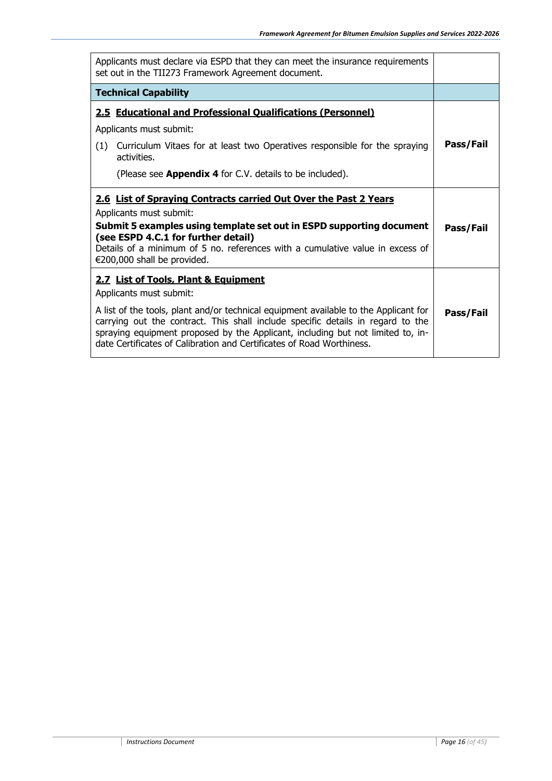| Applicants must declare via ESPD that they can meet the insurance requirements<br>set out in the TII273 Framework Agreement document.                                                                                                                                                                                               |           |
|-------------------------------------------------------------------------------------------------------------------------------------------------------------------------------------------------------------------------------------------------------------------------------------------------------------------------------------|-----------|
| <b>Technical Capability</b>                                                                                                                                                                                                                                                                                                         |           |
| <b>2.5 Educational and Professional Qualifications (Personnel)</b>                                                                                                                                                                                                                                                                  |           |
| Applicants must submit:                                                                                                                                                                                                                                                                                                             |           |
| Curriculum Vitaes for at least two Operatives responsible for the spraying<br>(1)<br>activities.                                                                                                                                                                                                                                    | Pass/Fail |
| (Please see <b>Appendix 4</b> for C.V. details to be included).                                                                                                                                                                                                                                                                     |           |
| 2.6 List of Spraying Contracts carried Out Over the Past 2 Years                                                                                                                                                                                                                                                                    |           |
| Applicants must submit:                                                                                                                                                                                                                                                                                                             |           |
| Submit 5 examples using template set out in ESPD supporting document<br>(see ESPD 4.C.1 for further detail)                                                                                                                                                                                                                         | Pass/Fail |
| Details of a minimum of 5 no. references with a cumulative value in excess of<br>€200,000 shall be provided.                                                                                                                                                                                                                        |           |
| 2.7 List of Tools, Plant & Equipment                                                                                                                                                                                                                                                                                                |           |
| Applicants must submit:                                                                                                                                                                                                                                                                                                             |           |
| A list of the tools, plant and/or technical equipment available to the Applicant for<br>carrying out the contract. This shall include specific details in regard to the<br>spraying equipment proposed by the Applicant, including but not limited to, in-<br>date Certificates of Calibration and Certificates of Road Worthiness. | Pass/Fail |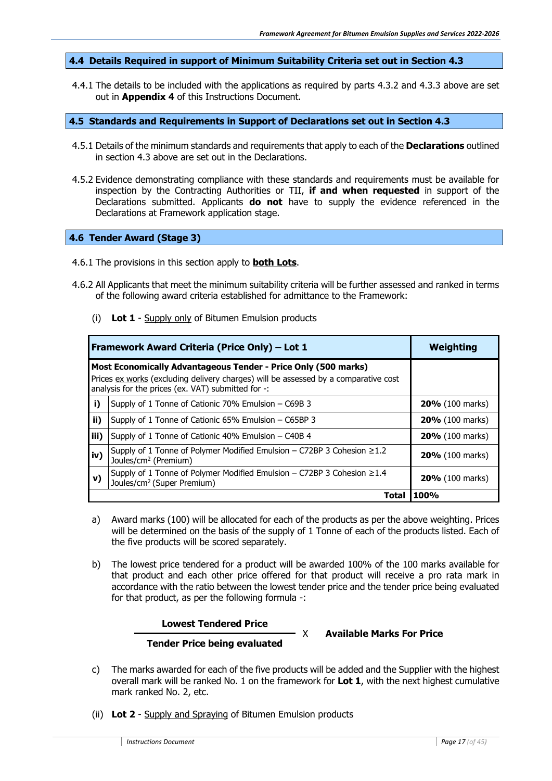#### <span id="page-16-0"></span>**4.4 Details Required in support of Minimum Suitability Criteria set out in Section 4.3**

4.4.1 The details to be included with the applications as required by parts 4.3.2 and 4.3.3 above are set out in **Appendix 4** of this Instructions Document.

#### <span id="page-16-1"></span>**4.5 Standards and Requirements in Support of Declarations set out in Section 4.3**

- 4.5.1 Details of the minimum standards and requirements that apply to each of the **Declarations** outlined in section 4.3 above are set out in the Declarations.
- 4.5.2 Evidence demonstrating compliance with these standards and requirements must be available for inspection by the Contracting Authorities or TII, **if and when requested** in support of the Declarations submitted. Applicants **do not** have to supply the evidence referenced in the Declarations at Framework application stage.

#### <span id="page-16-2"></span>**4.6 Tender Award (Stage 3)**

- 4.6.1 The provisions in this section apply to **both Lots**.
- 4.6.2 All Applicants that meet the minimum suitability criteria will be further assessed and ranked in terms of the following award criteria established for admittance to the Framework:
	- (i) **Lot 1** Supply only of Bitumen Emulsion products

|      | Framework Award Criteria (Price Only) - Lot 1                                                                                                                                                               | Weighting              |
|------|-------------------------------------------------------------------------------------------------------------------------------------------------------------------------------------------------------------|------------------------|
|      | Most Economically Advantageous Tender - Price Only (500 marks)<br>Prices ex works (excluding delivery charges) will be assessed by a comparative cost<br>analysis for the prices (ex. VAT) submitted for -: |                        |
| i)   | Supply of 1 Tonne of Cationic 70% Emulsion - C69B 3                                                                                                                                                         | 20% (100 marks)        |
| ii)  | Supply of 1 Tonne of Cationic 65% Emulsion - C65BP 3                                                                                                                                                        | 20% (100 marks)        |
| iii) | Supply of 1 Tonne of Cationic 40% Emulsion $-$ C40B 4                                                                                                                                                       | <b>20%</b> (100 marks) |
| iv)  | Supply of 1 Tonne of Polymer Modified Emulsion – C72BP 3 Cohesion $\geq$ 1.2<br>Joules/cm <sup>2</sup> (Premium)                                                                                            | <b>20%</b> (100 marks) |
| v)   | Supply of 1 Tonne of Polymer Modified Emulsion - C72BP 3 Cohesion ≥1.4<br>Joules/cm <sup>2</sup> (Super Premium)                                                                                            | <b>20%</b> (100 marks) |
|      | Total                                                                                                                                                                                                       | <b>100%</b>            |

- a) Award marks (100) will be allocated for each of the products as per the above weighting. Prices will be determined on the basis of the supply of 1 Tonne of each of the products listed. Each of the five products will be scored separately.
- b) The lowest price tendered for a product will be awarded 100% of the 100 marks available for that product and each other price offered for that product will receive a pro rata mark in accordance with the ratio between the lowest tender price and the tender price being evaluated for that product, as per the following formula -:

#### **Lowest Tendered Price**

#### X **Available Marks For Price**

### **Tender Price being evaluated**

- c) The marks awarded for each of the five products will be added and the Supplier with the highest overall mark will be ranked No. 1 on the framework for **Lot 1**, with the next highest cumulative mark ranked No. 2, etc.
- (ii) **Lot 2** Supply and Spraying of Bitumen Emulsion products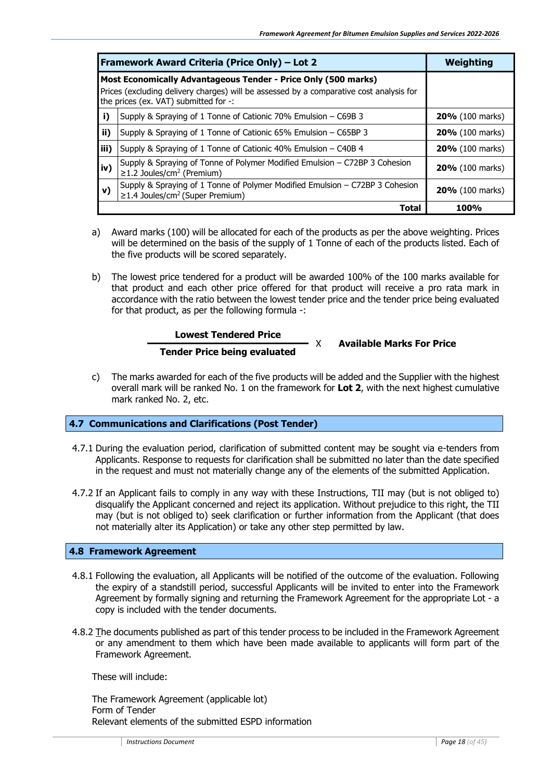|       | Framework Award Criteria (Price Only) – Lot 2                                                                                                                                                      | Weighting              |
|-------|----------------------------------------------------------------------------------------------------------------------------------------------------------------------------------------------------|------------------------|
|       | Most Economically Advantageous Tender - Price Only (500 marks)<br>Prices (excluding delivery charges) will be assessed by a comparative cost analysis for<br>the prices (ex. VAT) submitted for -: |                        |
| i)    | Supply & Spraying of 1 Tonne of Cationic 70% Emulsion - C69B 3                                                                                                                                     | <b>20%</b> (100 marks) |
| ii)   | Supply & Spraying of 1 Tonne of Cationic 65% Emulsion – C65BP 3                                                                                                                                    | 20% (100 marks)        |
| liii) | Supply & Spraying of 1 Tonne of Cationic 40% Emulsion - C40B 4                                                                                                                                     | 20% (100 marks)        |
| iv)   | Supply & Spraying of Tonne of Polymer Modified Emulsion - C72BP 3 Cohesion<br>$\geq$ 1.2 Joules/cm <sup>2</sup> (Premium)                                                                          | 20% (100 marks)        |
| v)    | Supply & Spraying of 1 Tonne of Polymer Modified Emulsion - C72BP 3 Cohesion<br>≥1.4 Joules/cm <sup>2</sup> (Super Premium)                                                                        | 20% (100 marks)        |
|       | Total                                                                                                                                                                                              | 100%                   |

- a) Award marks (100) will be allocated for each of the products as per the above weighting. Prices will be determined on the basis of the supply of 1 Tonne of each of the products listed. Each of the five products will be scored separately.
- b) The lowest price tendered for a product will be awarded 100% of the 100 marks available for that product and each other price offered for that product will receive a pro rata mark in accordance with the ratio between the lowest tender price and the tender price being evaluated for that product, as per the following formula -:

#### **Lowest Tendered Price Tender Price being evaluated**

X **Available Marks For Price**

c) The marks awarded for each of the five products will be added and the Supplier with the highest overall mark will be ranked No. 1 on the framework for **Lot 2**, with the next highest cumulative mark ranked No. 2, etc.

#### <span id="page-17-0"></span>**4.7 Communications and Clarifications (Post Tender)**

- 4.7.1 During the evaluation period, clarification of submitted content may be sought via e-tenders from Applicants. Response to requests for clarification shall be submitted no later than the date specified in the request and must not materially change any of the elements of the submitted Application.
- 4.7.2 If an Applicant fails to comply in any way with these Instructions, TII may (but is not obliged to) disqualify the Applicant concerned and reject its application. Without prejudice to this right, the TII may (but is not obliged to) seek clarification or further information from the Applicant (that does not materially alter its Application) or take any other step permitted by law.

#### <span id="page-17-1"></span>**4.8 Framework Agreement**

- 4.8.1 Following the evaluation, all Applicants will be notified of the outcome of the evaluation. Following the expiry of a standstill period, successful Applicants will be invited to enter into the Framework Agreement by formally signing and returning the Framework Agreement for the appropriate Lot - a copy is included with the tender documents.
- 4.8.2 The documents published as part of this tender process to be included in the Framework Agreement or any amendment to them which have been made available to applicants will form part of the Framework Agreement.

These will include:

The Framework Agreement (applicable lot) Form of Tender Relevant elements of the submitted ESPD information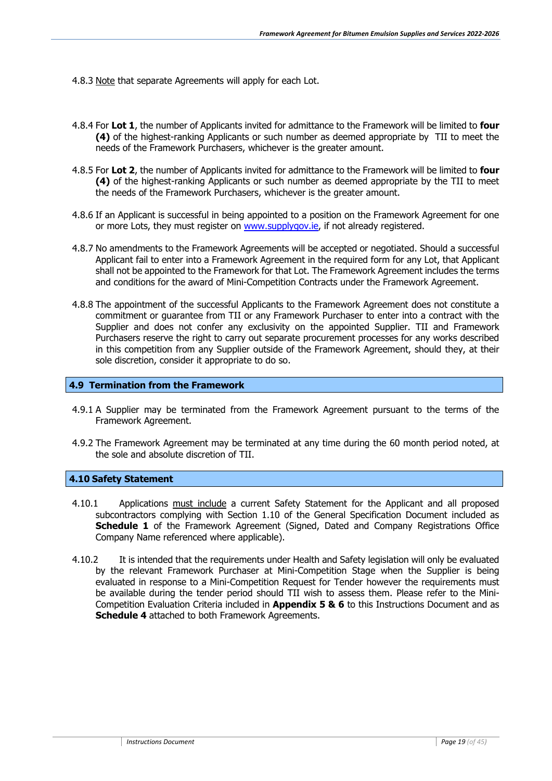- 4.8.3 Note that separate Agreements will apply for each Lot.
- 4.8.4 For **Lot 1**, the number of Applicants invited for admittance to the Framework will be limited to **four (4)** of the highest-ranking Applicants or such number as deemed appropriate by TII to meet the needs of the Framework Purchasers, whichever is the greater amount.
- 4.8.5 For **Lot 2**, the number of Applicants invited for admittance to the Framework will be limited to **four (4)** of the highest-ranking Applicants or such number as deemed appropriate by the TII to meet the needs of the Framework Purchasers, whichever is the greater amount.
- 4.8.6 If an Applicant is successful in being appointed to a position on the Framework Agreement for one or more Lots, they must register on www.supplygov.ie, if not already registered.
- 4.8.7 No amendments to the Framework Agreements will be accepted or negotiated. Should a successful Applicant fail to enter into a Framework Agreement in the required form for any Lot, that Applicant shall not be appointed to the Framework for that Lot. The Framework Agreement includes the terms and conditions for the award of Mini-Competition Contracts under the Framework Agreement.
- 4.8.8 The appointment of the successful Applicants to the Framework Agreement does not constitute a commitment or guarantee from TII or any Framework Purchaser to enter into a contract with the Supplier and does not confer any exclusivity on the appointed Supplier. TII and Framework Purchasers reserve the right to carry out separate procurement processes for any works described in this competition from any Supplier outside of the Framework Agreement, should they, at their sole discretion, consider it appropriate to do so.

#### <span id="page-18-0"></span>**4.9 Termination from the Framework**

- 4.9.1 A Supplier may be terminated from the Framework Agreement pursuant to the terms of the Framework Agreement.
- 4.9.2 The Framework Agreement may be terminated at any time during the 60 month period noted, at the sole and absolute discretion of TII.

#### <span id="page-18-1"></span>**4.10 Safety Statement**

- 4.10.1 Applications must include a current Safety Statement for the Applicant and all proposed subcontractors complying with Section 1.10 of the General Specification Document included as **Schedule 1** of the Framework Agreement (Signed, Dated and Company Registrations Office Company Name referenced where applicable).
- 4.10.2 It is intended that the requirements under Health and Safety legislation will only be evaluated by the relevant Framework Purchaser at Mini-Competition Stage when the Supplier is being evaluated in response to a Mini-Competition Request for Tender however the requirements must be available during the tender period should TII wish to assess them. Please refer to the Mini-Competition Evaluation Criteria included in **Appendix 5 & 6** to this Instructions Document and as **Schedule 4** attached to both Framework Agreements.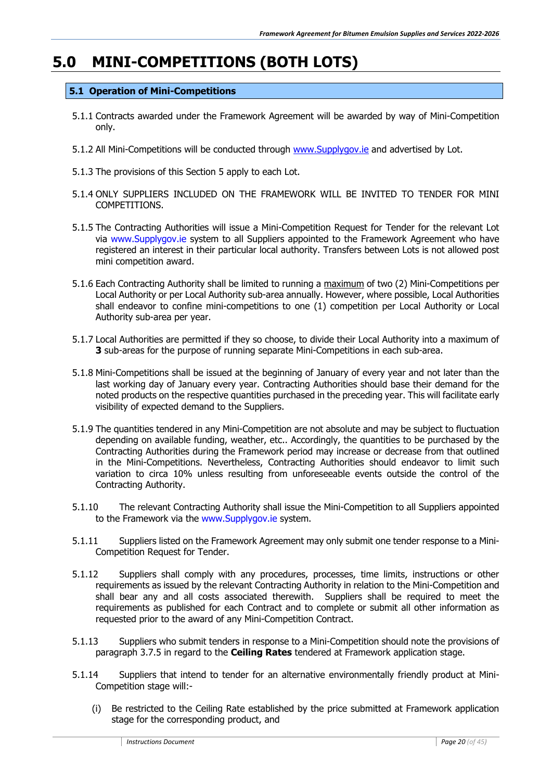# <span id="page-19-0"></span>**5.0 MINI-COMPETITIONS (BOTH LOTS)**

#### <span id="page-19-1"></span>**5.1 Operation of Mini-Competitions**

- 5.1.1 Contracts awarded under the Framework Agreement will be awarded by way of Mini-Competition only.
- 5.1.2 All Mini-Competitions will be conducted through [www.Supplygov.ie](http://www.supplygov.ie/) and advertised by Lot.
- 5.1.3 The provisions of this Section 5 apply to each Lot.
- 5.1.4 ONLY SUPPLIERS INCLUDED ON THE FRAMEWORK WILL BE INVITED TO TENDER FOR MINI COMPETITIONS.
- 5.1.5 The Contracting Authorities will issue a Mini-Competition Request for Tender for the relevant Lot via www.Supplygov.ie system to all Suppliers appointed to the Framework Agreement who have registered an interest in their particular local authority. Transfers between Lots is not allowed post mini competition award.
- 5.1.6 Each Contracting Authority shall be limited to running a maximum of two (2) Mini-Competitions per Local Authority or per Local Authority sub-area annually. However, where possible, Local Authorities shall endeavor to confine mini-competitions to one (1) competition per Local Authority or Local Authority sub-area per year.
- 5.1.7 Local Authorities are permitted if they so choose, to divide their Local Authority into a maximum of **3** sub-areas for the purpose of running separate Mini-Competitions in each sub-area.
- 5.1.8 Mini-Competitions shall be issued at the beginning of January of every year and not later than the last working day of January every year. Contracting Authorities should base their demand for the noted products on the respective quantities purchased in the preceding year. This will facilitate early visibility of expected demand to the Suppliers.
- 5.1.9 The quantities tendered in any Mini-Competition are not absolute and may be subject to fluctuation depending on available funding, weather, etc.. Accordingly, the quantities to be purchased by the Contracting Authorities during the Framework period may increase or decrease from that outlined in the Mini-Competitions. Nevertheless, Contracting Authorities should endeavor to limit such variation to circa 10% unless resulting from unforeseeable events outside the control of the Contracting Authority.
- 5.1.10 The relevant Contracting Authority shall issue the Mini-Competition to all Suppliers appointed to the Framework via the www.Supplygov.ie system.
- 5.1.11 Suppliers listed on the Framework Agreement may only submit one tender response to a Mini-Competition Request for Tender.
- 5.1.12 Suppliers shall comply with any procedures, processes, time limits, instructions or other requirements as issued by the relevant Contracting Authority in relation to the Mini-Competition and shall bear any and all costs associated therewith. Suppliers shall be required to meet the requirements as published for each Contract and to complete or submit all other information as requested prior to the award of any Mini-Competition Contract.
- 5.1.13 Suppliers who submit tenders in response to a Mini-Competition should note the provisions of paragraph 3.7.5 in regard to the **Ceiling Rates** tendered at Framework application stage.
- 5.1.14 Suppliers that intend to tender for an alternative environmentally friendly product at Mini-Competition stage will:-
	- (i) Be restricted to the Ceiling Rate established by the price submitted at Framework application stage for the corresponding product, and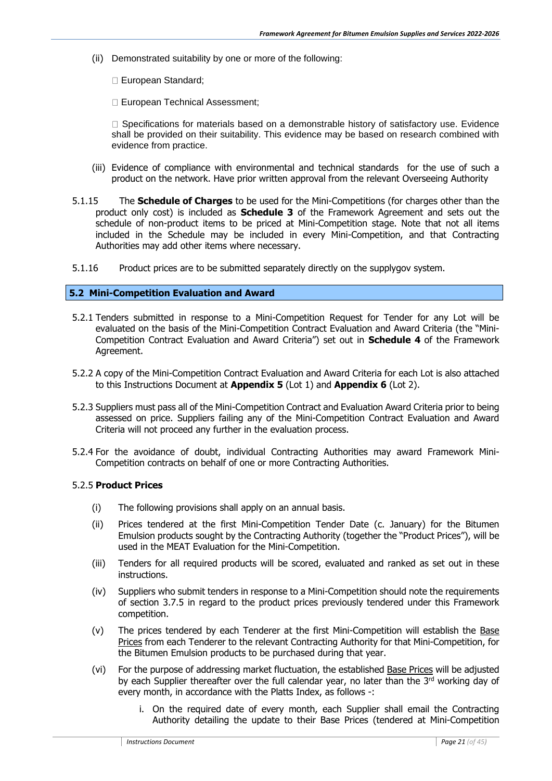- (ii) Demonstrated suitability by one or more of the following:
	- European Standard;
	- European Technical Assessment;

 $\Box$  Specifications for materials based on a demonstrable history of satisfactory use. Evidence shall be provided on their suitability. This evidence may be based on research combined with evidence from practice.

- (iii) Evidence of compliance with environmental and technical standards for the use of such a product on the network. Have prior written approval from the relevant Overseeing Authority
- 5.1.15 The **Schedule of Charges** to be used for the Mini-Competitions (for charges other than the product only cost) is included as **Schedule 3** of the Framework Agreement and sets out the schedule of non-product items to be priced at Mini-Competition stage. Note that not all items included in the Schedule may be included in every Mini-Competition, and that Contracting Authorities may add other items where necessary.
- 5.1.16 Product prices are to be submitted separately directly on the supplygov system.

#### <span id="page-20-0"></span>**5.2 Mini-Competition Evaluation and Award**

- 5.2.1 Tenders submitted in response to a Mini-Competition Request for Tender for any Lot will be evaluated on the basis of the Mini-Competition Contract Evaluation and Award Criteria (the "Mini-Competition Contract Evaluation and Award Criteria") set out in **Schedule 4** of the Framework Agreement.
- 5.2.2 A copy of the Mini-Competition Contract Evaluation and Award Criteria for each Lot is also attached to this Instructions Document at **Appendix 5** (Lot 1) and **Appendix 6** (Lot 2).
- 5.2.3 Suppliers must pass all of the Mini-Competition Contract and Evaluation Award Criteria prior to being assessed on price. Suppliers failing any of the Mini-Competition Contract Evaluation and Award Criteria will not proceed any further in the evaluation process.
- 5.2.4 For the avoidance of doubt, individual Contracting Authorities may award Framework Mini-Competition contracts on behalf of one or more Contracting Authorities.

#### 5.2.5 **Product Prices**

- (i) The following provisions shall apply on an annual basis.
- (ii) Prices tendered at the first Mini-Competition Tender Date (c. January) for the Bitumen Emulsion products sought by the Contracting Authority (together the "Product Prices"), will be used in the MEAT Evaluation for the Mini-Competition.
- (iii) Tenders for all required products will be scored, evaluated and ranked as set out in these instructions.
- (iv) Suppliers who submit tenders in response to a Mini-Competition should note the requirements of section 3.7.5 in regard to the product prices previously tendered under this Framework competition.
- (v) The prices tendered by each Tenderer at the first Mini-Competition will establish the Base Prices from each Tenderer to the relevant Contracting Authority for that Mini-Competition, for the Bitumen Emulsion products to be purchased during that year.
- (vi) For the purpose of addressing market fluctuation, the established Base Prices will be adjusted by each Supplier thereafter over the full calendar year, no later than the  $3<sup>rd</sup>$  working day of every month, in accordance with the Platts Index, as follows -:
	- i. On the required date of every month, each Supplier shall email the Contracting Authority detailing the update to their Base Prices (tendered at Mini-Competition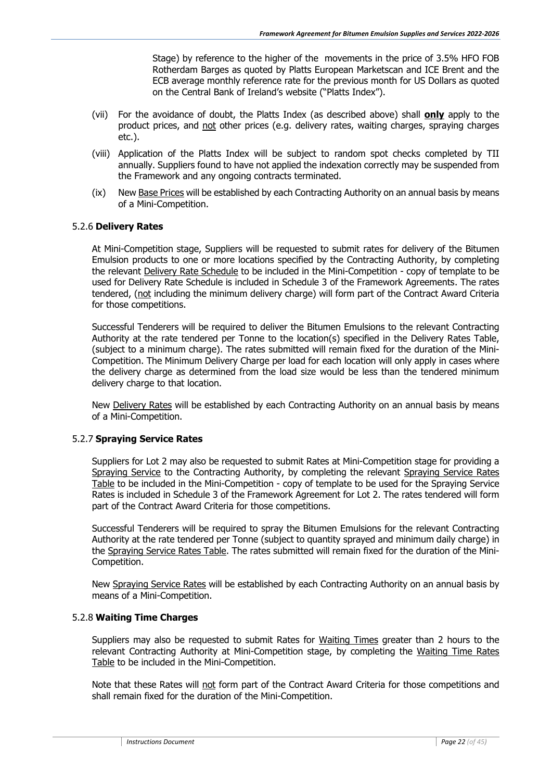Stage) by reference to the higher of the movements in the price of 3.5% HFO FOB Rotherdam Barges as quoted by Platts European Marketscan and ICE Brent and the ECB average monthly reference rate for the previous month for US Dollars as quoted on the Central Bank of Ireland's website ("Platts Index").

- (vii) For the avoidance of doubt, the Platts Index (as described above) shall **only** apply to the product prices, and not other prices (e.g. delivery rates, waiting charges, spraying charges etc.).
- (viii) Application of the Platts Index will be subject to random spot checks completed by TII annually. Suppliers found to have not applied the indexation correctly may be suspended from the Framework and any ongoing contracts terminated.
- (ix) New Base Prices will be established by each Contracting Authority on an annual basis by means of a Mini-Competition.

#### 5.2.6 **Delivery Rates**

At Mini-Competition stage, Suppliers will be requested to submit rates for delivery of the Bitumen Emulsion products to one or more locations specified by the Contracting Authority, by completing the relevant Delivery Rate Schedule to be included in the Mini-Competition - copy of template to be used for Delivery Rate Schedule is included in Schedule 3 of the Framework Agreements. The rates tendered, (not including the minimum delivery charge) will form part of the Contract Award Criteria for those competitions.

Successful Tenderers will be required to deliver the Bitumen Emulsions to the relevant Contracting Authority at the rate tendered per Tonne to the location(s) specified in the Delivery Rates Table, (subject to a minimum charge). The rates submitted will remain fixed for the duration of the Mini-Competition. The Minimum Delivery Charge per load for each location will only apply in cases where the delivery charge as determined from the load size would be less than the tendered minimum delivery charge to that location.

New Delivery Rates will be established by each Contracting Authority on an annual basis by means of a Mini-Competition.

#### 5.2.7 **Spraying Service Rates**

Suppliers for Lot 2 may also be requested to submit Rates at Mini-Competition stage for providing a Spraying Service to the Contracting Authority, by completing the relevant Spraying Service Rates Table to be included in the Mini-Competition - copy of template to be used for the Spraying Service Rates is included in Schedule 3 of the Framework Agreement for Lot 2. The rates tendered will form part of the Contract Award Criteria for those competitions.

Successful Tenderers will be required to spray the Bitumen Emulsions for the relevant Contracting Authority at the rate tendered per Tonne (subject to quantity sprayed and minimum daily charge) in the Spraying Service Rates Table. The rates submitted will remain fixed for the duration of the Mini-Competition.

New Spraying Service Rates will be established by each Contracting Authority on an annual basis by means of a Mini-Competition.

#### 5.2.8 **Waiting Time Charges**

Suppliers may also be requested to submit Rates for Waiting Times greater than 2 hours to the relevant Contracting Authority at Mini-Competition stage, by completing the Waiting Time Rates Table to be included in the Mini-Competition.

Note that these Rates will not form part of the Contract Award Criteria for those competitions and shall remain fixed for the duration of the Mini-Competition.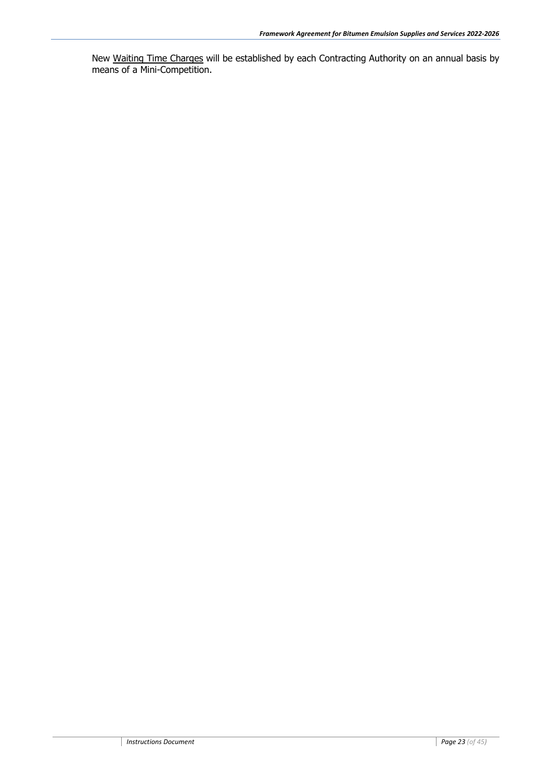New Waiting Time Charges will be established by each Contracting Authority on an annual basis by means of a Mini-Competition.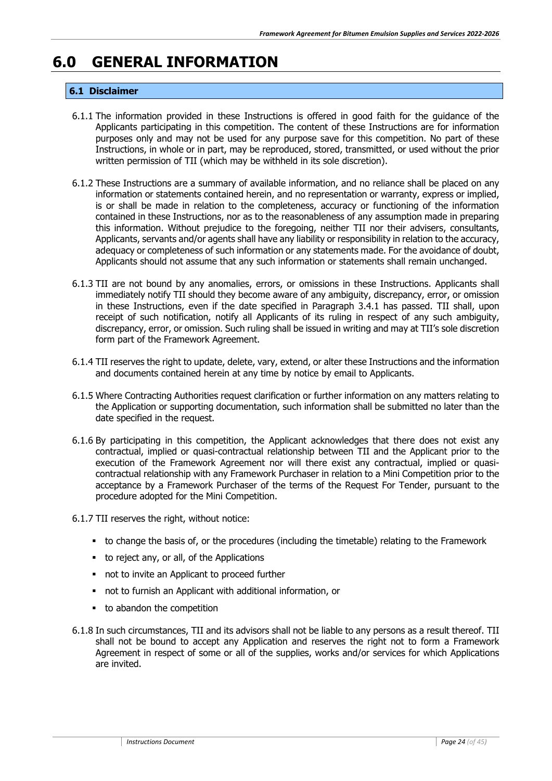# <span id="page-23-1"></span><span id="page-23-0"></span>**6.0 GENERAL INFORMATION**

#### **6.1 Disclaimer**

- 6.1.1 The information provided in these Instructions is offered in good faith for the guidance of the Applicants participating in this competition. The content of these Instructions are for information purposes only and may not be used for any purpose save for this competition. No part of these Instructions, in whole or in part, may be reproduced, stored, transmitted, or used without the prior written permission of TII (which may be withheld in its sole discretion).
- 6.1.2 These Instructions are a summary of available information, and no reliance shall be placed on any information or statements contained herein, and no representation or warranty, express or implied, is or shall be made in relation to the completeness, accuracy or functioning of the information contained in these Instructions, nor as to the reasonableness of any assumption made in preparing this information. Without prejudice to the foregoing, neither TII nor their advisers, consultants, Applicants, servants and/or agents shall have any liability or responsibility in relation to the accuracy, adequacy or completeness of such information or any statements made. For the avoidance of doubt, Applicants should not assume that any such information or statements shall remain unchanged.
- 6.1.3 TII are not bound by any anomalies, errors, or omissions in these Instructions. Applicants shall immediately notify TII should they become aware of any ambiguity, discrepancy, error, or omission in these Instructions, even if the date specified in Paragraph 3.4.1 has passed. TII shall, upon receipt of such notification, notify all Applicants of its ruling in respect of any such ambiguity, discrepancy, error, or omission. Such ruling shall be issued in writing and may at TII's sole discretion form part of the Framework Agreement.
- 6.1.4 TII reserves the right to update, delete, vary, extend, or alter these Instructions and the information and documents contained herein at any time by notice by email to Applicants.
- 6.1.5 Where Contracting Authorities request clarification or further information on any matters relating to the Application or supporting documentation, such information shall be submitted no later than the date specified in the request.
- 6.1.6 By participating in this competition, the Applicant acknowledges that there does not exist any contractual, implied or quasi-contractual relationship between TII and the Applicant prior to the execution of the Framework Agreement nor will there exist any contractual, implied or quasicontractual relationship with any Framework Purchaser in relation to a Mini Competition prior to the acceptance by a Framework Purchaser of the terms of the Request For Tender, pursuant to the procedure adopted for the Mini Competition.
- 6.1.7 TII reserves the right, without notice:
	- to change the basis of, or the procedures (including the timetable) relating to the Framework
	- to reject any, or all, of the Applications
	- not to invite an Applicant to proceed further
	- not to furnish an Applicant with additional information, or
	- to abandon the competition
- 6.1.8 In such circumstances, TII and its advisors shall not be liable to any persons as a result thereof. TII shall not be bound to accept any Application and reserves the right not to form a Framework Agreement in respect of some or all of the supplies, works and/or services for which Applications are invited.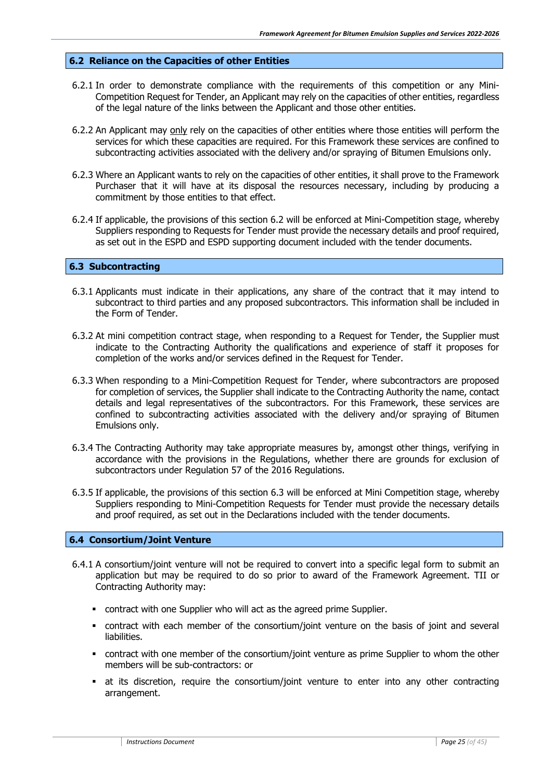#### <span id="page-24-0"></span>**6.2 Reliance on the Capacities of other Entities**

- 6.2.1 In order to demonstrate compliance with the requirements of this competition or any Mini-Competition Request for Tender, an Applicant may rely on the capacities of other entities, regardless of the legal nature of the links between the Applicant and those other entities.
- 6.2.2 An Applicant may only rely on the capacities of other entities where those entities will perform the services for which these capacities are required. For this Framework these services are confined to subcontracting activities associated with the delivery and/or spraying of Bitumen Emulsions only.
- 6.2.3 Where an Applicant wants to rely on the capacities of other entities, it shall prove to the Framework Purchaser that it will have at its disposal the resources necessary, including by producing a commitment by those entities to that effect.
- 6.2.4 If applicable, the provisions of this section 6.2 will be enforced at Mini-Competition stage, whereby Suppliers responding to Requests for Tender must provide the necessary details and proof required, as set out in the ESPD and ESPD supporting document included with the tender documents.

#### <span id="page-24-1"></span>**6.3 Subcontracting**

- 6.3.1 Applicants must indicate in their applications, any share of the contract that it may intend to subcontract to third parties and any proposed subcontractors. This information shall be included in the Form of Tender.
- 6.3.2 At mini competition contract stage, when responding to a Request for Tender, the Supplier must indicate to the Contracting Authority the qualifications and experience of staff it proposes for completion of the works and/or services defined in the Request for Tender.
- 6.3.3 When responding to a Mini-Competition Request for Tender, where subcontractors are proposed for completion of services, the Supplier shall indicate to the Contracting Authority the name, contact details and legal representatives of the subcontractors. For this Framework, these services are confined to subcontracting activities associated with the delivery and/or spraying of Bitumen Emulsions only.
- 6.3.4 The Contracting Authority may take appropriate measures by, amongst other things, verifying in accordance with the provisions in the Regulations, whether there are grounds for exclusion of subcontractors under Regulation 57 of the 2016 Regulations.
- 6.3.5 If applicable, the provisions of this section 6.3 will be enforced at Mini Competition stage, whereby Suppliers responding to Mini-Competition Requests for Tender must provide the necessary details and proof required, as set out in the Declarations included with the tender documents.

#### <span id="page-24-2"></span>**6.4 Consortium/Joint Venture**

- 6.4.1 A consortium/joint venture will not be required to convert into a specific legal form to submit an application but may be required to do so prior to award of the Framework Agreement. TII or Contracting Authority may:
	- contract with one Supplier who will act as the agreed prime Supplier.
	- contract with each member of the consortium/joint venture on the basis of joint and several liabilities.
	- contract with one member of the consortium/joint venture as prime Supplier to whom the other members will be sub-contractors: or
	- at its discretion, require the consortium/joint venture to enter into any other contracting arrangement.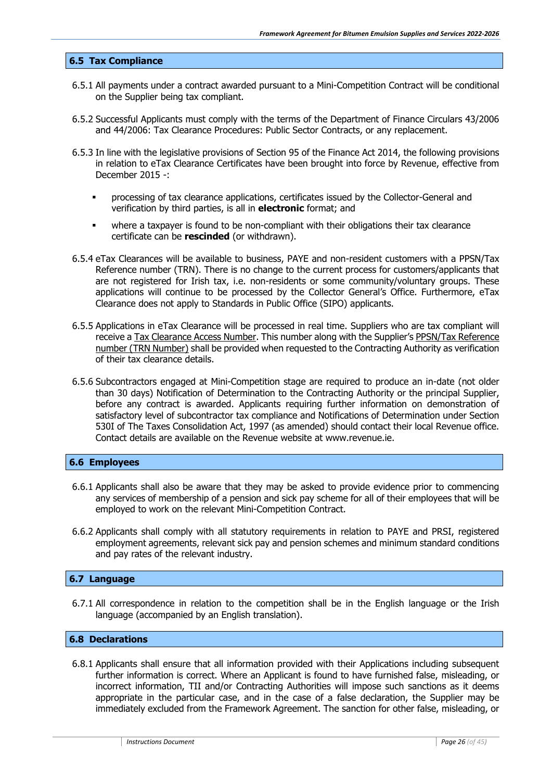#### <span id="page-25-0"></span>**6.5 Tax Compliance**

- 6.5.1 All payments under a contract awarded pursuant to a Mini-Competition Contract will be conditional on the Supplier being tax compliant.
- 6.5.2 Successful Applicants must comply with the terms of the Department of Finance Circulars 43/2006 and 44/2006: Tax Clearance Procedures: Public Sector Contracts, or any replacement.
- 6.5.3 In line with the legislative provisions of Section 95 of the Finance Act 2014, the following provisions in relation to eTax Clearance Certificates have been brought into force by Revenue, effective from December 2015 -:
	- processing of tax clearance applications, certificates issued by the Collector-General and verification by third parties, is all in **electronic** format; and
	- where a taxpayer is found to be non-compliant with their obligations their tax clearance certificate can be **rescinded** (or withdrawn).
- 6.5.4 eTax Clearances will be available to business, PAYE and non-resident customers with a PPSN/Tax Reference number (TRN). There is no change to the current process for customers/applicants that are not registered for Irish tax, i.e. non-residents or some community/voluntary groups. These applications will continue to be processed by the Collector General's Office. Furthermore, eTax Clearance does not apply to Standards in Public Office (SIPO) applicants.
- 6.5.5 Applications in eTax Clearance will be processed in real time. Suppliers who are tax compliant will receive a Tax Clearance Access Number. This number along with the Supplier's PPSN/Tax Reference number (TRN Number) shall be provided when requested to the Contracting Authority as verification of their tax clearance details.
- 6.5.6 Subcontractors engaged at Mini-Competition stage are required to produce an in-date (not older than 30 days) Notification of Determination to the Contracting Authority or the principal Supplier, before any contract is awarded. Applicants requiring further information on demonstration of satisfactory level of subcontractor tax compliance and Notifications of Determination under Section 530I of The Taxes Consolidation Act, 1997 (as amended) should contact their local Revenue office. Contact details are available on the Revenue website at www.revenue.ie.

#### <span id="page-25-1"></span>**6.6 Employees**

- 6.6.1 Applicants shall also be aware that they may be asked to provide evidence prior to commencing any services of membership of a pension and sick pay scheme for all of their employees that will be employed to work on the relevant Mini-Competition Contract.
- 6.6.2 Applicants shall comply with all statutory requirements in relation to PAYE and PRSI, registered employment agreements, relevant sick pay and pension schemes and minimum standard conditions and pay rates of the relevant industry.

#### <span id="page-25-2"></span>**6.7 Language**

6.7.1 All correspondence in relation to the competition shall be in the English language or the Irish language (accompanied by an English translation).

#### <span id="page-25-3"></span>**6.8 Declarations**

6.8.1 Applicants shall ensure that all information provided with their Applications including subsequent further information is correct. Where an Applicant is found to have furnished false, misleading, or incorrect information, TII and/or Contracting Authorities will impose such sanctions as it deems appropriate in the particular case, and in the case of a false declaration, the Supplier may be immediately excluded from the Framework Agreement. The sanction for other false, misleading, or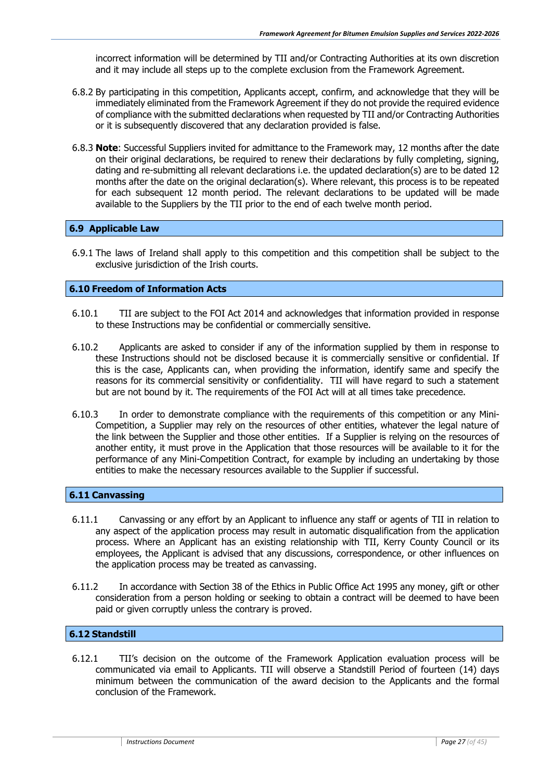incorrect information will be determined by TII and/or Contracting Authorities at its own discretion and it may include all steps up to the complete exclusion from the Framework Agreement.

- 6.8.2 By participating in this competition, Applicants accept, confirm, and acknowledge that they will be immediately eliminated from the Framework Agreement if they do not provide the required evidence of compliance with the submitted declarations when requested by TII and/or Contracting Authorities or it is subsequently discovered that any declaration provided is false.
- 6.8.3 **Note**: Successful Suppliers invited for admittance to the Framework may, 12 months after the date on their original declarations, be required to renew their declarations by fully completing, signing, dating and re-submitting all relevant declarations i.e. the updated declaration(s) are to be dated 12 months after the date on the original declaration(s). Where relevant, this process is to be repeated for each subsequent 12 month period. The relevant declarations to be updated will be made available to the Suppliers by the TII prior to the end of each twelve month period.

#### <span id="page-26-0"></span>**6.9 Applicable Law**

6.9.1 The laws of Ireland shall apply to this competition and this competition shall be subject to the exclusive jurisdiction of the Irish courts.

#### <span id="page-26-1"></span>**6.10 Freedom of Information Acts**

- 6.10.1 TII are subject to the FOI Act 2014 and acknowledges that information provided in response to these Instructions may be confidential or commercially sensitive.
- 6.10.2 Applicants are asked to consider if any of the information supplied by them in response to these Instructions should not be disclosed because it is commercially sensitive or confidential. If this is the case, Applicants can, when providing the information, identify same and specify the reasons for its commercial sensitivity or confidentiality. TII will have regard to such a statement but are not bound by it. The requirements of the FOI Act will at all times take precedence.
- 6.10.3 In order to demonstrate compliance with the requirements of this competition or any Mini-Competition, a Supplier may rely on the resources of other entities, whatever the legal nature of the link between the Supplier and those other entities. If a Supplier is relying on the resources of another entity, it must prove in the Application that those resources will be available to it for the performance of any Mini-Competition Contract, for example by including an undertaking by those entities to make the necessary resources available to the Supplier if successful.

#### <span id="page-26-2"></span>**6.11 Canvassing**

- 6.11.1 Canvassing or any effort by an Applicant to influence any staff or agents of TII in relation to any aspect of the application process may result in automatic disqualification from the application process. Where an Applicant has an existing relationship with TII, Kerry County Council or its employees, the Applicant is advised that any discussions, correspondence, or other influences on the application process may be treated as canvassing.
- 6.11.2 In accordance with Section 38 of the Ethics in Public Office Act 1995 any money, gift or other consideration from a person holding or seeking to obtain a contract will be deemed to have been paid or given corruptly unless the contrary is proved.

#### <span id="page-26-3"></span>**6.12 Standstill**

6.12.1 TII's decision on the outcome of the Framework Application evaluation process will be communicated via email to Applicants. TII will observe a Standstill Period of fourteen (14) days minimum between the communication of the award decision to the Applicants and the formal conclusion of the Framework.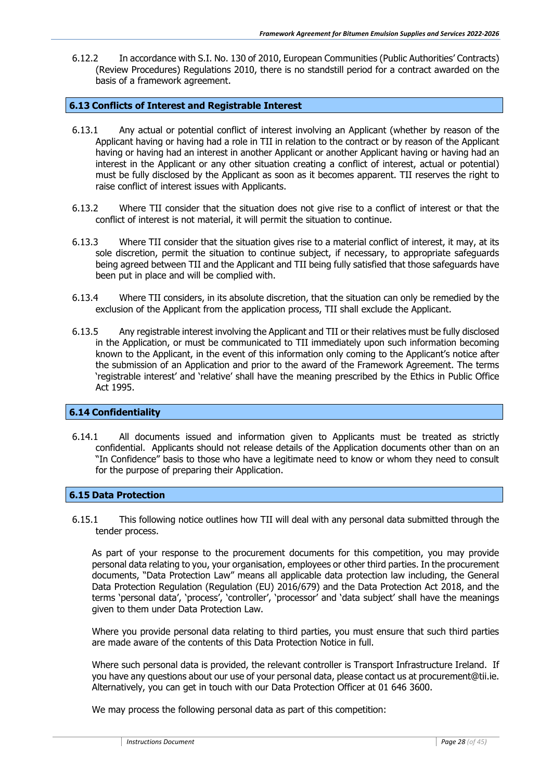6.12.2 In accordance with S.I. No. 130 of 2010, European Communities (Public Authorities' Contracts) (Review Procedures) Regulations 2010, there is no standstill period for a contract awarded on the basis of a framework agreement.

#### <span id="page-27-0"></span>**6.13 Conflicts of Interest and Registrable Interest**

- 6.13.1 Any actual or potential conflict of interest involving an Applicant (whether by reason of the Applicant having or having had a role in TII in relation to the contract or by reason of the Applicant having or having had an interest in another Applicant or another Applicant having or having had an interest in the Applicant or any other situation creating a conflict of interest, actual or potential) must be fully disclosed by the Applicant as soon as it becomes apparent. TII reserves the right to raise conflict of interest issues with Applicants.
- 6.13.2 Where TII consider that the situation does not give rise to a conflict of interest or that the conflict of interest is not material, it will permit the situation to continue.
- 6.13.3 Where TII consider that the situation gives rise to a material conflict of interest, it may, at its sole discretion, permit the situation to continue subject, if necessary, to appropriate safeguards being agreed between TII and the Applicant and TII being fully satisfied that those safeguards have been put in place and will be complied with.
- 6.13.4 Where TII considers, in its absolute discretion, that the situation can only be remedied by the exclusion of the Applicant from the application process, TII shall exclude the Applicant.
- 6.13.5 Any registrable interest involving the Applicant and TII or their relatives must be fully disclosed in the Application, or must be communicated to TII immediately upon such information becoming known to the Applicant, in the event of this information only coming to the Applicant's notice after the submission of an Application and prior to the award of the Framework Agreement. The terms 'registrable interest' and 'relative' shall have the meaning prescribed by the Ethics in Public Office Act 1995.

#### <span id="page-27-1"></span>**6.14 Confidentiality**

6.14.1 All documents issued and information given to Applicants must be treated as strictly confidential. Applicants should not release details of the Application documents other than on an "In Confidence" basis to those who have a legitimate need to know or whom they need to consult for the purpose of preparing their Application.

#### <span id="page-27-2"></span>**6.15 Data Protection**

6.15.1 This following notice outlines how TII will deal with any personal data submitted through the tender process.

As part of your response to the procurement documents for this competition, you may provide personal data relating to you, your organisation, employees or other third parties. In the procurement documents, "Data Protection Law" means all applicable data protection law including, the General Data Protection Regulation (Regulation (EU) 2016/679) and the Data Protection Act 2018, and the terms 'personal data', 'process', 'controller', 'processor' and 'data subject' shall have the meanings given to them under Data Protection Law.

Where you provide personal data relating to third parties, you must ensure that such third parties are made aware of the contents of this Data Protection Notice in full.

Where such personal data is provided, the relevant controller is Transport Infrastructure Ireland. If you have any questions about our use of your personal data, please contact us at procurement@tii.ie. Alternatively, you can get in touch with our Data Protection Officer at 01 646 3600.

We may process the following personal data as part of this competition: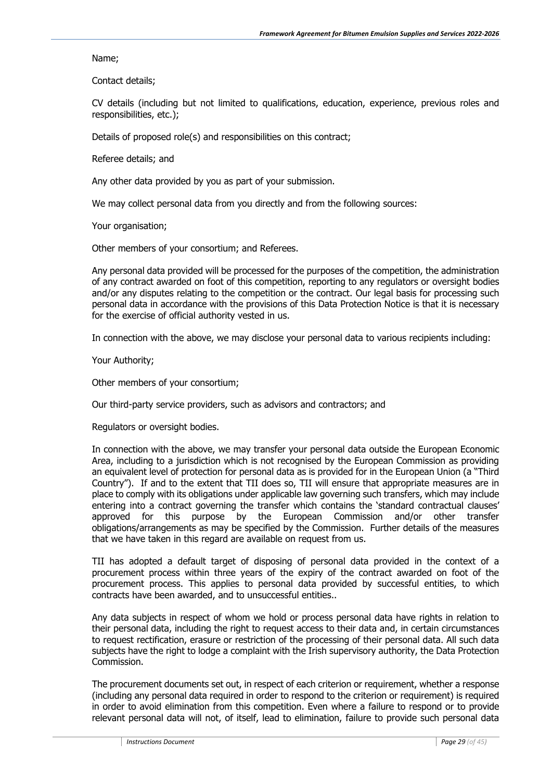Name;

Contact details;

CV details (including but not limited to qualifications, education, experience, previous roles and responsibilities, etc.);

Details of proposed role(s) and responsibilities on this contract;

Referee details; and

Any other data provided by you as part of your submission.

We may collect personal data from you directly and from the following sources:

Your organisation;

Other members of your consortium; and Referees.

Any personal data provided will be processed for the purposes of the competition, the administration of any contract awarded on foot of this competition, reporting to any regulators or oversight bodies and/or any disputes relating to the competition or the contract. Our legal basis for processing such personal data in accordance with the provisions of this Data Protection Notice is that it is necessary for the exercise of official authority vested in us.

In connection with the above, we may disclose your personal data to various recipients including:

Your Authority;

Other members of your consortium;

Our third-party service providers, such as advisors and contractors; and

Regulators or oversight bodies.

In connection with the above, we may transfer your personal data outside the European Economic Area, including to a jurisdiction which is not recognised by the European Commission as providing an equivalent level of protection for personal data as is provided for in the European Union (a "Third Country"). If and to the extent that TII does so, TII will ensure that appropriate measures are in place to comply with its obligations under applicable law governing such transfers, which may include entering into a contract governing the transfer which contains the 'standard contractual clauses' approved for this purpose by the European Commission and/or other transfer obligations/arrangements as may be specified by the Commission. Further details of the measures that we have taken in this regard are available on request from us.

TII has adopted a default target of disposing of personal data provided in the context of a procurement process within three years of the expiry of the contract awarded on foot of the procurement process. This applies to personal data provided by successful entities, to which contracts have been awarded, and to unsuccessful entities..

Any data subjects in respect of whom we hold or process personal data have rights in relation to their personal data, including the right to request access to their data and, in certain circumstances to request rectification, erasure or restriction of the processing of their personal data. All such data subjects have the right to lodge a complaint with the Irish supervisory authority, the Data Protection Commission.

The procurement documents set out, in respect of each criterion or requirement, whether a response (including any personal data required in order to respond to the criterion or requirement) is required in order to avoid elimination from this competition. Even where a failure to respond or to provide relevant personal data will not, of itself, lead to elimination, failure to provide such personal data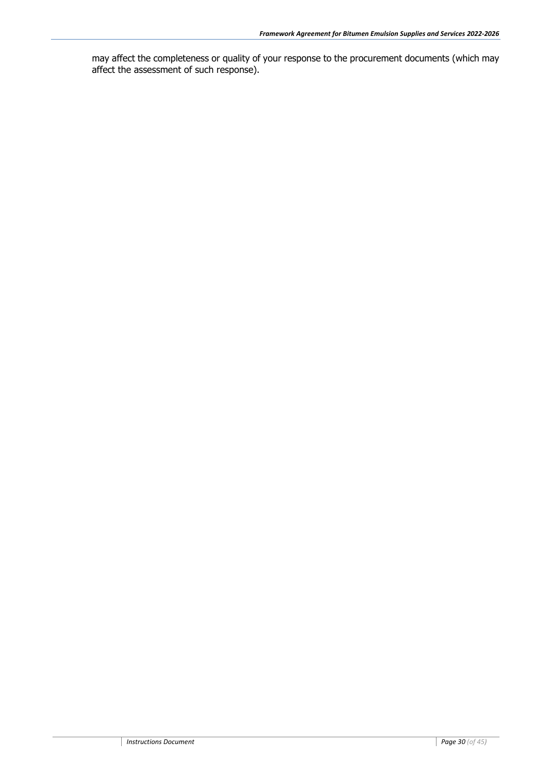may affect the completeness or quality of your response to the procurement documents (which may affect the assessment of such response).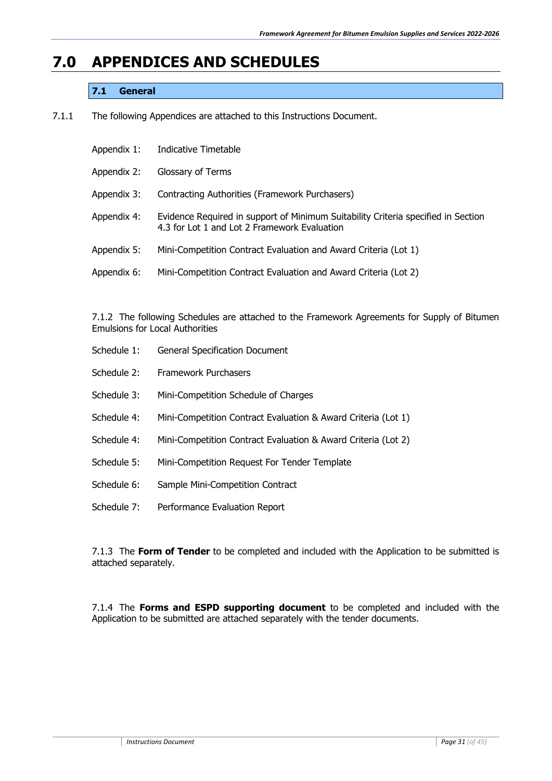### <span id="page-30-0"></span>**7.0 APPENDICES AND SCHEDULES**

#### **7.1 General**

7.1.1 The following Appendices are attached to this Instructions Document.

| Appendix 1: | Indicative Timetable                                                                                                              |
|-------------|-----------------------------------------------------------------------------------------------------------------------------------|
| Appendix 2: | Glossary of Terms                                                                                                                 |
| Appendix 3: | Contracting Authorities (Framework Purchasers)                                                                                    |
| Appendix 4: | Evidence Required in support of Minimum Suitability Criteria specified in Section<br>4.3 for Lot 1 and Lot 2 Framework Evaluation |
| Appendix 5: | Mini-Competition Contract Evaluation and Award Criteria (Lot 1)                                                                   |
| Appendix 6: | Mini-Competition Contract Evaluation and Award Criteria (Lot 2)                                                                   |

7.1.2 The following Schedules are attached to the Framework Agreements for Supply of Bitumen Emulsions for Local Authorities

| Schedule 1: | <b>General Specification Document</b>                         |
|-------------|---------------------------------------------------------------|
| Schedule 2: | <b>Framework Purchasers</b>                                   |
| Schedule 3: | Mini-Competition Schedule of Charges                          |
| Schedule 4: | Mini-Competition Contract Evaluation & Award Criteria (Lot 1) |
| Schedule 4: | Mini-Competition Contract Evaluation & Award Criteria (Lot 2) |
| Schedule 5: | Mini-Competition Request For Tender Template                  |
| Schedule 6: | Sample Mini-Competition Contract                              |
| Schedule 7: | Performance Evaluation Report                                 |

7.1.3 The **Form of Tender** to be completed and included with the Application to be submitted is attached separately.

7.1.4 The **Forms and ESPD supporting document** to be completed and included with the Application to be submitted are attached separately with the tender documents.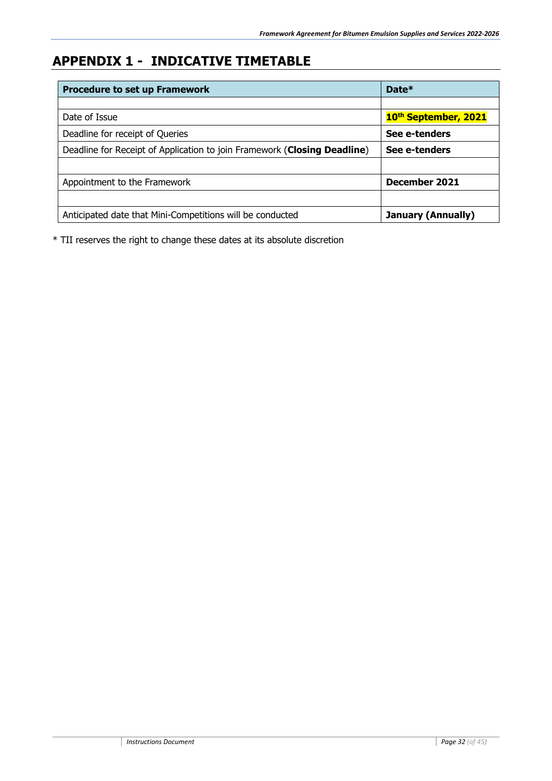# <span id="page-31-0"></span>**APPENDIX 1 - INDICATIVE TIMETABLE**

| <b>Procedure to set up Framework</b>                                     | Date*                     |
|--------------------------------------------------------------------------|---------------------------|
|                                                                          |                           |
| Date of Issue                                                            | 10th September, 2021      |
| Deadline for receipt of Queries                                          | See e-tenders             |
| Deadline for Receipt of Application to join Framework (Closing Deadline) | See e-tenders             |
|                                                                          |                           |
| Appointment to the Framework                                             | December 2021             |
|                                                                          |                           |
| Anticipated date that Mini-Competitions will be conducted                | <b>January (Annually)</b> |

\* TII reserves the right to change these dates at its absolute discretion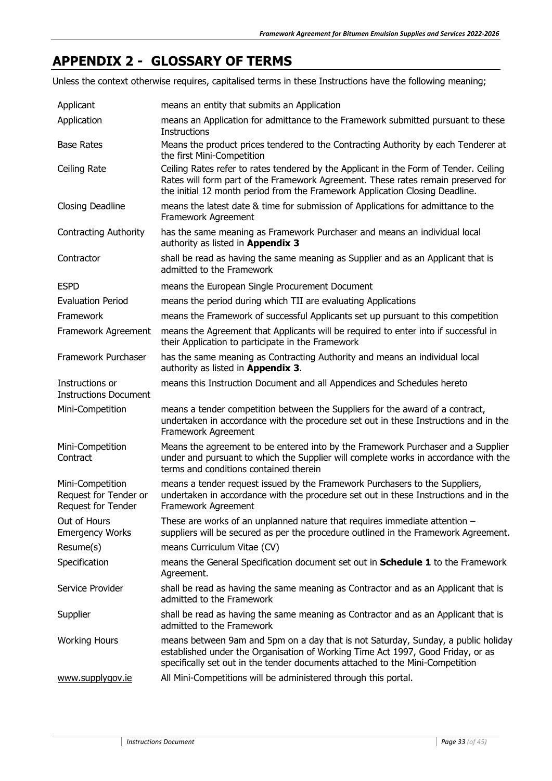### <span id="page-32-0"></span>**APPENDIX 2 - GLOSSARY OF TERMS**

Unless the context otherwise requires, capitalised terms in these Instructions have the following meaning;

| Applicant                                                       | means an entity that submits an Application                                                                                                                                                                                                                |
|-----------------------------------------------------------------|------------------------------------------------------------------------------------------------------------------------------------------------------------------------------------------------------------------------------------------------------------|
| Application                                                     | means an Application for admittance to the Framework submitted pursuant to these<br><b>Instructions</b>                                                                                                                                                    |
| <b>Base Rates</b>                                               | Means the product prices tendered to the Contracting Authority by each Tenderer at<br>the first Mini-Competition                                                                                                                                           |
| Ceiling Rate                                                    | Ceiling Rates refer to rates tendered by the Applicant in the Form of Tender. Ceiling<br>Rates will form part of the Framework Agreement. These rates remain preserved for<br>the initial 12 month period from the Framework Application Closing Deadline. |
| Closing Deadline                                                | means the latest date & time for submission of Applications for admittance to the<br>Framework Agreement                                                                                                                                                   |
| <b>Contracting Authority</b>                                    | has the same meaning as Framework Purchaser and means an individual local<br>authority as listed in Appendix 3                                                                                                                                             |
| Contractor                                                      | shall be read as having the same meaning as Supplier and as an Applicant that is<br>admitted to the Framework                                                                                                                                              |
| <b>ESPD</b>                                                     | means the European Single Procurement Document                                                                                                                                                                                                             |
| <b>Evaluation Period</b>                                        | means the period during which TII are evaluating Applications                                                                                                                                                                                              |
| Framework                                                       | means the Framework of successful Applicants set up pursuant to this competition                                                                                                                                                                           |
| Framework Agreement                                             | means the Agreement that Applicants will be required to enter into if successful in<br>their Application to participate in the Framework                                                                                                                   |
| Framework Purchaser                                             | has the same meaning as Contracting Authority and means an individual local<br>authority as listed in Appendix 3.                                                                                                                                          |
| Instructions or<br><b>Instructions Document</b>                 | means this Instruction Document and all Appendices and Schedules hereto                                                                                                                                                                                    |
| Mini-Competition                                                | means a tender competition between the Suppliers for the award of a contract,<br>undertaken in accordance with the procedure set out in these Instructions and in the<br>Framework Agreement                                                               |
| Mini-Competition<br>Contract                                    | Means the agreement to be entered into by the Framework Purchaser and a Supplier<br>under and pursuant to which the Supplier will complete works in accordance with the<br>terms and conditions contained therein                                          |
| Mini-Competition<br>Request for Tender or<br>Request for Tender | means a tender request issued by the Framework Purchasers to the Suppliers,<br>undertaken in accordance with the procedure set out in these Instructions and in the<br>Framework Agreement                                                                 |
| Out of Hours<br><b>Emergency Works</b>                          | These are works of an unplanned nature that requires immediate attention $-$<br>suppliers will be secured as per the procedure outlined in the Framework Agreement.                                                                                        |
| Resume(s)                                                       | means Curriculum Vitae (CV)                                                                                                                                                                                                                                |
| Specification                                                   | means the General Specification document set out in <b>Schedule 1</b> to the Framework<br>Agreement.                                                                                                                                                       |
| Service Provider                                                | shall be read as having the same meaning as Contractor and as an Applicant that is<br>admitted to the Framework                                                                                                                                            |
| Supplier                                                        | shall be read as having the same meaning as Contractor and as an Applicant that is<br>admitted to the Framework                                                                                                                                            |
| <b>Working Hours</b>                                            | means between 9am and 5pm on a day that is not Saturday, Sunday, a public holiday<br>established under the Organisation of Working Time Act 1997, Good Friday, or as<br>specifically set out in the tender documents attached to the Mini-Competition      |
| www.supplygov.ie                                                | All Mini-Competitions will be administered through this portal.                                                                                                                                                                                            |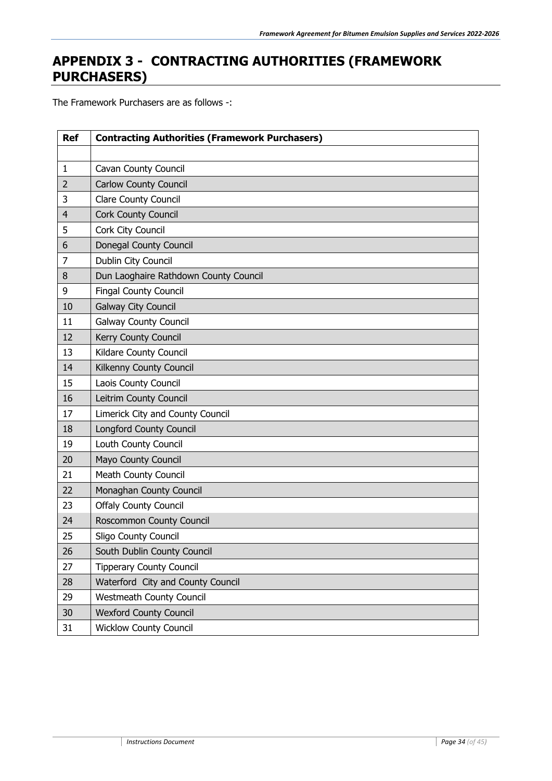### <span id="page-33-0"></span>**APPENDIX 3 - CONTRACTING AUTHORITIES (FRAMEWORK PURCHASERS)**

The Framework Purchasers are as follows -:

| <b>Ref</b>     | <b>Contracting Authorities (Framework Purchasers)</b> |  |  |  |  |
|----------------|-------------------------------------------------------|--|--|--|--|
|                |                                                       |  |  |  |  |
| $\mathbf{1}$   | Cavan County Council                                  |  |  |  |  |
| $\overline{2}$ | <b>Carlow County Council</b>                          |  |  |  |  |
| 3              | <b>Clare County Council</b>                           |  |  |  |  |
| $\overline{4}$ | Cork County Council                                   |  |  |  |  |
| 5              | Cork City Council                                     |  |  |  |  |
| 6              | Donegal County Council                                |  |  |  |  |
| $\overline{7}$ | Dublin City Council                                   |  |  |  |  |
| 8              | Dun Laoghaire Rathdown County Council                 |  |  |  |  |
| 9              | <b>Fingal County Council</b>                          |  |  |  |  |
| 10             | Galway City Council                                   |  |  |  |  |
| 11             | <b>Galway County Council</b>                          |  |  |  |  |
| 12             | Kerry County Council                                  |  |  |  |  |
| 13             | Kildare County Council                                |  |  |  |  |
| 14             | Kilkenny County Council                               |  |  |  |  |
| 15             | Laois County Council                                  |  |  |  |  |
| 16             | Leitrim County Council                                |  |  |  |  |
| 17             | Limerick City and County Council                      |  |  |  |  |
| 18             | <b>Longford County Council</b>                        |  |  |  |  |
| 19             | Louth County Council                                  |  |  |  |  |
| 20             | Mayo County Council                                   |  |  |  |  |
| 21             | <b>Meath County Council</b>                           |  |  |  |  |
| 22             | Monaghan County Council                               |  |  |  |  |
| 23             | <b>Offaly County Council</b>                          |  |  |  |  |
| 24             | Roscommon County Council                              |  |  |  |  |
| 25             | <b>Sligo County Council</b>                           |  |  |  |  |
| 26             | South Dublin County Council                           |  |  |  |  |
| 27             | <b>Tipperary County Council</b>                       |  |  |  |  |
| 28             | Waterford City and County Council                     |  |  |  |  |
| 29             | Westmeath County Council                              |  |  |  |  |
| 30             | <b>Wexford County Council</b>                         |  |  |  |  |
| 31             | <b>Wicklow County Council</b>                         |  |  |  |  |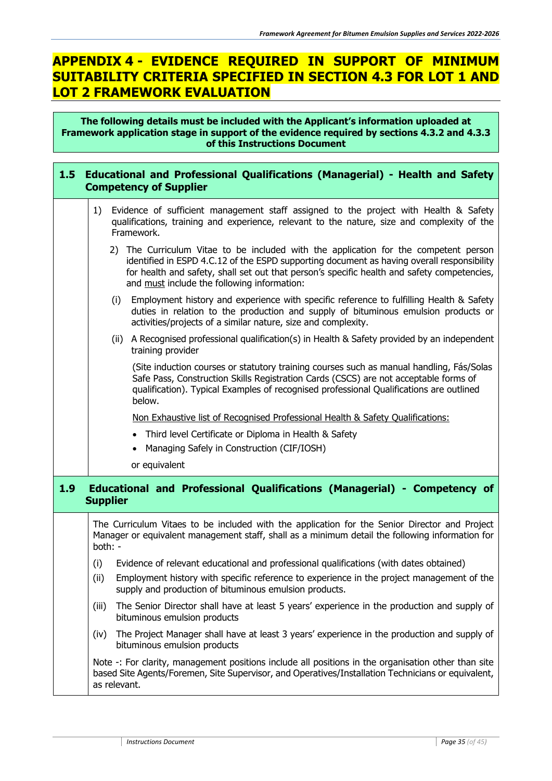### <span id="page-34-0"></span>**APPENDIX 4 - EVIDENCE REQUIRED IN SUPPORT OF MINIMUM SUITABILITY CRITERIA SPECIFIED IN SECTION 4.3 FOR LOT 1 AND LOT 2 FRAMEWORK EVALUATION**

**The following details must be included with the Applicant's information uploaded at Framework application stage in support of the evidence required by sections 4.3.2 and 4.3.3 of this Instructions Document**

| 1.5 <sub>1</sub>                                                                                                                                                                                        | <b>Educational and Professional Qualifications (Managerial) - Health and Safety</b><br><b>Competency of Supplier</b>                                                                                                                                                                                                             |  |  |  |  |  |
|---------------------------------------------------------------------------------------------------------------------------------------------------------------------------------------------------------|----------------------------------------------------------------------------------------------------------------------------------------------------------------------------------------------------------------------------------------------------------------------------------------------------------------------------------|--|--|--|--|--|
| Evidence of sufficient management staff assigned to the project with Health & Safety<br>1)<br>qualifications, training and experience, relevant to the nature, size and complexity of the<br>Framework. |                                                                                                                                                                                                                                                                                                                                  |  |  |  |  |  |
|                                                                                                                                                                                                         | 2) The Curriculum Vitae to be included with the application for the competent person<br>identified in ESPD 4.C.12 of the ESPD supporting document as having overall responsibility<br>for health and safety, shall set out that person's specific health and safety competencies,<br>and must include the following information: |  |  |  |  |  |
|                                                                                                                                                                                                         | Employment history and experience with specific reference to fulfilling Health & Safety<br>(i)<br>duties in relation to the production and supply of bituminous emulsion products or<br>activities/projects of a similar nature, size and complexity.                                                                            |  |  |  |  |  |
|                                                                                                                                                                                                         | (ii) A Recognised professional qualification(s) in Health & Safety provided by an independent<br>training provider                                                                                                                                                                                                               |  |  |  |  |  |
|                                                                                                                                                                                                         | (Site induction courses or statutory training courses such as manual handling, Fás/Solas<br>Safe Pass, Construction Skills Registration Cards (CSCS) are not acceptable forms of<br>qualification). Typical Examples of recognised professional Qualifications are outlined<br>below.                                            |  |  |  |  |  |
|                                                                                                                                                                                                         | Non Exhaustive list of Recognised Professional Health & Safety Qualifications:                                                                                                                                                                                                                                                   |  |  |  |  |  |
|                                                                                                                                                                                                         | Third level Certificate or Diploma in Health & Safety                                                                                                                                                                                                                                                                            |  |  |  |  |  |
|                                                                                                                                                                                                         | Managing Safely in Construction (CIF/IOSH)<br>$\bullet$                                                                                                                                                                                                                                                                          |  |  |  |  |  |
|                                                                                                                                                                                                         | or equivalent                                                                                                                                                                                                                                                                                                                    |  |  |  |  |  |
| 1.9                                                                                                                                                                                                     | Educational and Professional Qualifications (Managerial) - Competency of<br><b>Supplier</b>                                                                                                                                                                                                                                      |  |  |  |  |  |
|                                                                                                                                                                                                         | The Curriculum Vitaes to be included with the application for the Senior Director and Project<br>Manager or equivalent management staff, shall as a minimum detail the following information for<br>both: -                                                                                                                      |  |  |  |  |  |
|                                                                                                                                                                                                         | Evidence of relevant educational and professional qualifications (with dates obtained)<br>(i)                                                                                                                                                                                                                                    |  |  |  |  |  |
|                                                                                                                                                                                                         | (ii)<br>Employment history with specific reference to experience in the project management of the<br>supply and production of bituminous emulsion products.                                                                                                                                                                      |  |  |  |  |  |
|                                                                                                                                                                                                         | The Senior Director shall have at least 5 years' experience in the production and supply of<br>(iii)<br>bituminous emulsion products                                                                                                                                                                                             |  |  |  |  |  |
|                                                                                                                                                                                                         | The Project Manager shall have at least 3 years' experience in the production and supply of<br>(iv)<br>bituminous emulsion products                                                                                                                                                                                              |  |  |  |  |  |
|                                                                                                                                                                                                         | Note -: For clarity, management positions include all positions in the organisation other than site<br>based Site Agents/Foremen, Site Supervisor, and Operatives/Installation Technicians or equivalent,<br>as relevant.                                                                                                        |  |  |  |  |  |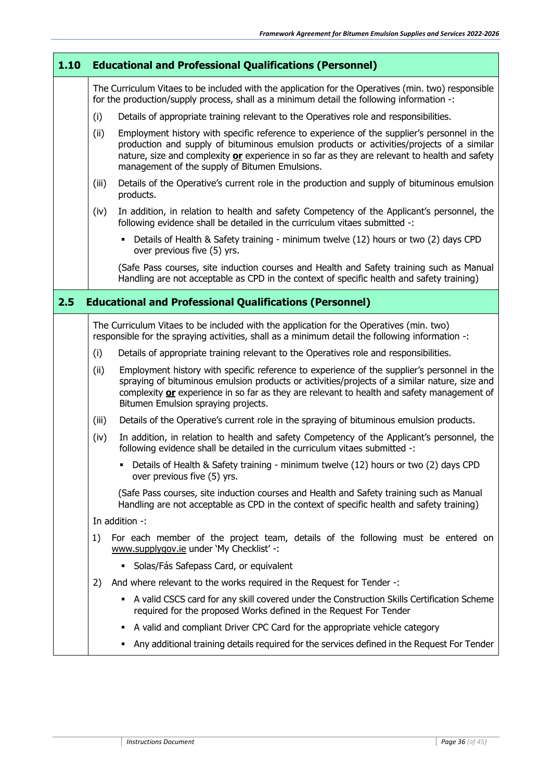<span id="page-35-0"></span>

| 1.10 |                                                                                                                                                                                            | <b>Educational and Professional Qualifications (Personnel)</b>                                                                                                                                                                                                                                                                              |  |  |  |  |
|------|--------------------------------------------------------------------------------------------------------------------------------------------------------------------------------------------|---------------------------------------------------------------------------------------------------------------------------------------------------------------------------------------------------------------------------------------------------------------------------------------------------------------------------------------------|--|--|--|--|
|      |                                                                                                                                                                                            | The Curriculum Vitaes to be included with the application for the Operatives (min. two) responsible<br>for the production/supply process, shall as a minimum detail the following information -:                                                                                                                                            |  |  |  |  |
|      | (i)                                                                                                                                                                                        | Details of appropriate training relevant to the Operatives role and responsibilities.                                                                                                                                                                                                                                                       |  |  |  |  |
|      | (ii)                                                                                                                                                                                       | Employment history with specific reference to experience of the supplier's personnel in the<br>production and supply of bituminous emulsion products or activities/projects of a similar<br>nature, size and complexity or experience in so far as they are relevant to health and safety<br>management of the supply of Bitumen Emulsions. |  |  |  |  |
|      | (iii)                                                                                                                                                                                      | Details of the Operative's current role in the production and supply of bituminous emulsion<br>products.                                                                                                                                                                                                                                    |  |  |  |  |
|      | (iv)                                                                                                                                                                                       | In addition, in relation to health and safety Competency of the Applicant's personnel, the<br>following evidence shall be detailed in the curriculum vitaes submitted -:                                                                                                                                                                    |  |  |  |  |
|      | - Details of Health & Safety training - minimum twelve (12) hours or two (2) days CPD<br>over previous five (5) yrs.                                                                       |                                                                                                                                                                                                                                                                                                                                             |  |  |  |  |
|      | (Safe Pass courses, site induction courses and Health and Safety training such as Manual<br>Handling are not acceptable as CPD in the context of specific health and safety training)      |                                                                                                                                                                                                                                                                                                                                             |  |  |  |  |
| 2.5  |                                                                                                                                                                                            | <b>Educational and Professional Qualifications (Personnel)</b>                                                                                                                                                                                                                                                                              |  |  |  |  |
|      | The Curriculum Vitaes to be included with the application for the Operatives (min. two)<br>responsible for the spraying activities, shall as a minimum detail the following information -: |                                                                                                                                                                                                                                                                                                                                             |  |  |  |  |
|      | (i)                                                                                                                                                                                        | Details of appropriate training relevant to the Operatives role and responsibilities.                                                                                                                                                                                                                                                       |  |  |  |  |
|      | (ii)                                                                                                                                                                                       | Employment history with specific reference to experience of the supplier's personnel in the<br>spraying of bituminous emulsion products or activities/projects of a similar nature, size and<br>complexity or experience in so far as they are relevant to health and safety management of<br>Bitumen Emulsion spraying projects.           |  |  |  |  |
|      | (iii)                                                                                                                                                                                      | Details of the Operative's current role in the spraying of bituminous emulsion products.                                                                                                                                                                                                                                                    |  |  |  |  |
|      | (iv)                                                                                                                                                                                       | In addition, in relation to health and safety Competency of the Applicant's personnel, the<br>following evidence shall be detailed in the curriculum vitaes submitted -:                                                                                                                                                                    |  |  |  |  |
|      |                                                                                                                                                                                            | • Details of Health & Safety training - minimum twelve (12) hours or two (2) days CPD<br>over previous five (5) yrs.                                                                                                                                                                                                                        |  |  |  |  |
|      | (Safe Pass courses, site induction courses and Health and Safety training such as Manual<br>Handling are not acceptable as CPD in the context of specific health and safety training)      |                                                                                                                                                                                                                                                                                                                                             |  |  |  |  |
|      |                                                                                                                                                                                            | In addition -:                                                                                                                                                                                                                                                                                                                              |  |  |  |  |
|      | For each member of the project team, details of the following must be entered on<br>1)<br>www.supplygov.ie under 'My Checklist' -:                                                         |                                                                                                                                                                                                                                                                                                                                             |  |  |  |  |
|      | • Solas/Fás Safepass Card, or equivalent                                                                                                                                                   |                                                                                                                                                                                                                                                                                                                                             |  |  |  |  |
|      | 2)                                                                                                                                                                                         | And where relevant to the works required in the Request for Tender -:                                                                                                                                                                                                                                                                       |  |  |  |  |
|      |                                                                                                                                                                                            | A valid CSCS card for any skill covered under the Construction Skills Certification Scheme<br>٠<br>required for the proposed Works defined in the Request For Tender                                                                                                                                                                        |  |  |  |  |
|      |                                                                                                                                                                                            | • A valid and compliant Driver CPC Card for the appropriate vehicle category                                                                                                                                                                                                                                                                |  |  |  |  |
|      |                                                                                                                                                                                            | Any additional training details required for the services defined in the Request For Tender                                                                                                                                                                                                                                                 |  |  |  |  |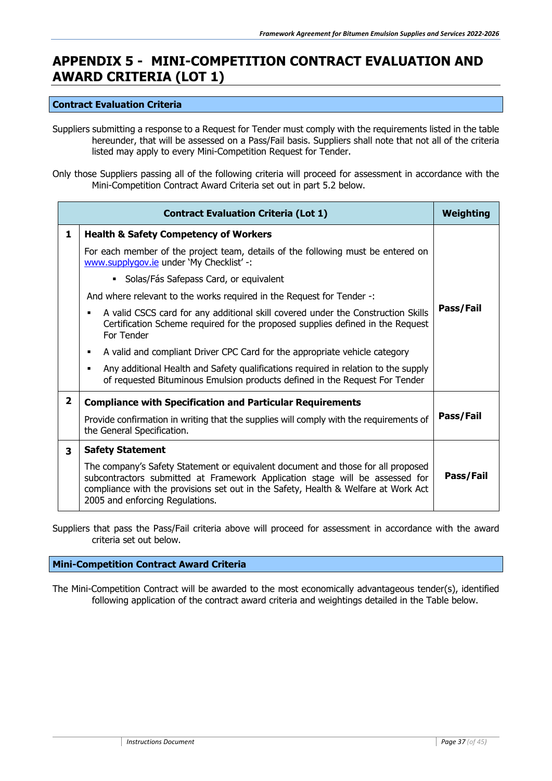### **APPENDIX 5 - MINI-COMPETITION CONTRACT EVALUATION AND AWARD CRITERIA (LOT 1)**

#### **Contract Evaluation Criteria**

Suppliers submitting a response to a Request for Tender must comply with the requirements listed in the table hereunder, that will be assessed on a Pass/Fail basis. Suppliers shall note that not all of the criteria listed may apply to every Mini-Competition Request for Tender.

Only those Suppliers passing all of the following criteria will proceed for assessment in accordance with the Mini-Competition Contract Award Criteria set out in part 5.2 below.

| <b>Contract Evaluation Criteria (Lot 1)</b> |                                                                                                                                                                                                                                                                                                                                                                                                                                                                                                                                                                                                                                                                                                                                                                                          |           |
|---------------------------------------------|------------------------------------------------------------------------------------------------------------------------------------------------------------------------------------------------------------------------------------------------------------------------------------------------------------------------------------------------------------------------------------------------------------------------------------------------------------------------------------------------------------------------------------------------------------------------------------------------------------------------------------------------------------------------------------------------------------------------------------------------------------------------------------------|-----------|
| 1                                           | <b>Health &amp; Safety Competency of Workers</b><br>For each member of the project team, details of the following must be entered on<br>www.supplygov.ie under 'My Checklist' -:<br>Solas/Fás Safepass Card, or equivalent<br>$\blacksquare$<br>And where relevant to the works required in the Request for Tender -:<br>A valid CSCS card for any additional skill covered under the Construction Skills<br>$\blacksquare$<br>Certification Scheme required for the proposed supplies defined in the Request<br>For Tender<br>A valid and compliant Driver CPC Card for the appropriate vehicle category<br>٠<br>Any additional Health and Safety qualifications required in relation to the supply<br>п<br>of requested Bituminous Emulsion products defined in the Request For Tender | Pass/Fail |
| $\overline{2}$                              | <b>Compliance with Specification and Particular Requirements</b><br>Provide confirmation in writing that the supplies will comply with the requirements of<br>the General Specification.                                                                                                                                                                                                                                                                                                                                                                                                                                                                                                                                                                                                 | Pass/Fail |
| 3                                           | <b>Safety Statement</b><br>The company's Safety Statement or equivalent document and those for all proposed<br>subcontractors submitted at Framework Application stage will be assessed for<br>compliance with the provisions set out in the Safety, Health & Welfare at Work Act<br>2005 and enforcing Regulations.                                                                                                                                                                                                                                                                                                                                                                                                                                                                     | Pass/Fail |

Suppliers that pass the Pass/Fail criteria above will proceed for assessment in accordance with the award criteria set out below.

#### **Mini-Competition Contract Award Criteria**

The Mini-Competition Contract will be awarded to the most economically advantageous tender(s), identified following application of the contract award criteria and weightings detailed in the Table below.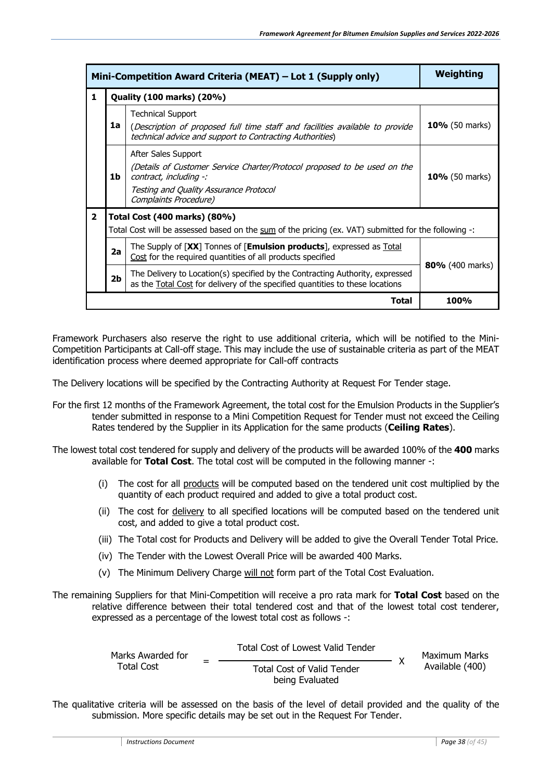| Mini-Competition Award Criteria (MEAT) – Lot 1 (Supply only) | Weighting                                                                                            |                                                                                                                                                                                              |                       |  |  |
|--------------------------------------------------------------|------------------------------------------------------------------------------------------------------|----------------------------------------------------------------------------------------------------------------------------------------------------------------------------------------------|-----------------------|--|--|
| 1                                                            |                                                                                                      | <b>Quality (100 marks) (20%)</b>                                                                                                                                                             |                       |  |  |
|                                                              | 1a                                                                                                   | <b>Technical Support</b><br>(Description of proposed full time staff and facilities available to provide<br>technical advice and support to Contracting Authorities)                         | <b>10%</b> (50 marks) |  |  |
|                                                              | 1b                                                                                                   | After Sales Support<br>(Details of Customer Service Charter/Protocol proposed to be used on the<br>contract, including -:<br>Testing and Quality Assurance Protocol<br>Complaints Procedure) | 10% (50 marks)        |  |  |
| $\overline{2}$                                               |                                                                                                      | Total Cost (400 marks) (80%)                                                                                                                                                                 |                       |  |  |
|                                                              | Total Cost will be assessed based on the sum of the pricing (ex. VAT) submitted for the following -: |                                                                                                                                                                                              |                       |  |  |
|                                                              | 2a                                                                                                   |                                                                                                                                                                                              |                       |  |  |
|                                                              | 2 <sub>b</sub>                                                                                       | 80% (400 marks)                                                                                                                                                                              |                       |  |  |
|                                                              |                                                                                                      | Total                                                                                                                                                                                        | <b>100%</b>           |  |  |

Framework Purchasers also reserve the right to use additional criteria, which will be notified to the Mini-Competition Participants at Call-off stage. This may include the use of sustainable criteria as part of the MEAT identification process where deemed appropriate for Call-off contracts

The Delivery locations will be specified by the Contracting Authority at Request For Tender stage.

- For the first 12 months of the Framework Agreement, the total cost for the Emulsion Products in the Supplier's tender submitted in response to a Mini Competition Request for Tender must not exceed the Ceiling Rates tendered by the Supplier in its Application for the same products (**Ceiling Rates**).
- The lowest total cost tendered for supply and delivery of the products will be awarded 100% of the **400** marks available for **Total Cost**. The total cost will be computed in the following manner -:
	- (i) The cost for all products will be computed based on the tendered unit cost multiplied by the quantity of each product required and added to give a total product cost.
	- (ii) The cost for delivery to all specified locations will be computed based on the tendered unit cost, and added to give a total product cost.
	- (iii) The Total cost for Products and Delivery will be added to give the Overall Tender Total Price.
	- (iv) The Tender with the Lowest Overall Price will be awarded 400 Marks.
	- (v) The Minimum Delivery Charge will not form part of the Total Cost Evaluation.
- The remaining Suppliers for that Mini-Competition will receive a pro rata mark for **Total Cost** based on the relative difference between their total tendered cost and that of the lowest total cost tenderer, expressed as a percentage of the lowest total cost as follows -:

| Marks Awarded for | Total Cost of Lowest Valid Tender                    |  | Maximum Marks<br>Available (400) |
|-------------------|------------------------------------------------------|--|----------------------------------|
| Total Cost        | <b>Total Cost of Valid Tender</b><br>being Evaluated |  |                                  |

The qualitative criteria will be assessed on the basis of the level of detail provided and the quality of the submission. More specific details may be set out in the Request For Tender.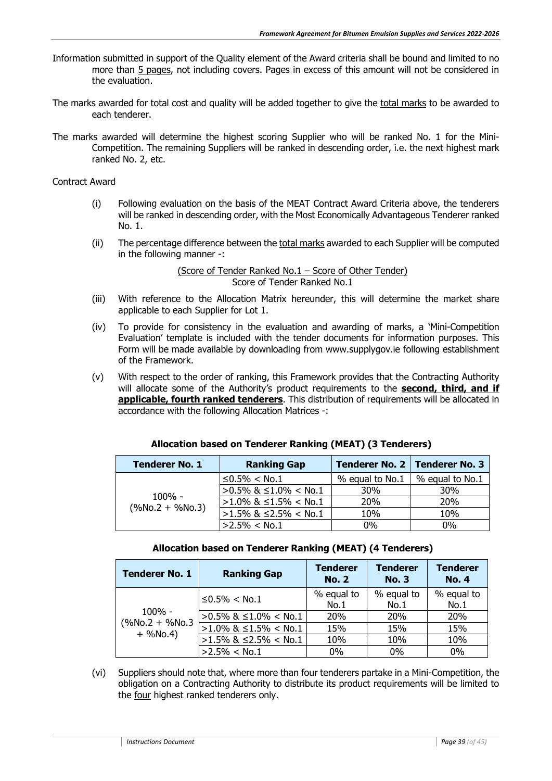- Information submitted in support of the Quality element of the Award criteria shall be bound and limited to no more than 5 pages, not including covers. Pages in excess of this amount will not be considered in the evaluation.
- The marks awarded for total cost and quality will be added together to give the total marks to be awarded to each tenderer.
- The marks awarded will determine the highest scoring Supplier who will be ranked No. 1 for the Mini-Competition. The remaining Suppliers will be ranked in descending order, i.e. the next highest mark ranked No. 2, etc.

#### Contract Award

- (i) Following evaluation on the basis of the MEAT Contract Award Criteria above, the tenderers will be ranked in descending order, with the Most Economically Advantageous Tenderer ranked No. 1.
- (ii) The percentage difference between the total marks awarded to each Supplier will be computed in the following manner -:

#### (Score of Tender Ranked No.1 – Score of Other Tender) Score of Tender Ranked No.1

- (iii) With reference to the Allocation Matrix hereunder, this will determine the market share applicable to each Supplier for Lot 1.
- (iv) To provide for consistency in the evaluation and awarding of marks, a 'Mini-Competition Evaluation' template is included with the tender documents for information purposes. This Form will be made available by downloading from www.supplygov.ie following establishment of the Framework.
- (v) With respect to the order of ranking, this Framework provides that the Contracting Authority will allocate some of the Authority's product requirements to the **second, third, and if applicable, fourth ranked tenderers**. This distribution of requirements will be allocated in accordance with the following Allocation Matrices -:

| <b>Tenderer No. 1</b> | <b>Ranking Gap</b>      | Tenderer No. 2   Tenderer No. 3 |                 |  |
|-----------------------|-------------------------|---------------------------------|-----------------|--|
|                       | $\leq$ 0.5% < No.1      | % equal to No.1                 | % equal to No.1 |  |
|                       | >0.5% & ≤1.0% < No.1    | 30%                             | 30%             |  |
| $100\%$ -             | $>1.0\%$ & ≤1.5% < No.1 | <b>20%</b>                      | 20%             |  |
| $(\%No.2 + \%No.3)$   | $>1.5\%$ & ≤2.5% < No.1 | 10%                             | 10%             |  |
|                       | $>2.5\% <$ No.1         | 0%                              | $0\%$           |  |

#### **Allocation based on Tenderer Ranking (MEAT) (3 Tenderers)**

#### **Allocation based on Tenderer Ranking (MEAT) (4 Tenderers)**

| <b>Tenderer No. 1</b>             | <b>Ranking Gap</b>            | <b>Tenderer</b><br><b>No. 2</b> | <b>Tenderer</b><br><b>No. 3</b> | <b>Tenderer</b><br><b>No. 4</b> |
|-----------------------------------|-------------------------------|---------------------------------|---------------------------------|---------------------------------|
|                                   | $≤0.5% <$ No.1                | % equal to                      | % equal to                      | % equal to                      |
|                                   |                               | No.1                            | No.1                            | No.1                            |
| 100% -                            | $>0.5\%$ & $\leq1.0\%$ < No.1 | <b>20%</b>                      | <b>20%</b>                      | 20%                             |
| $(%$ (%No.2 + %No.3<br>$+$ %No.4) | $>1.0\%$ & $\leq1.5\%$ < No.1 | 15%                             | 15%                             | 15%                             |
|                                   | $>1.5\%$ & $\leq$ 2.5% < No.1 | 10%                             | 10%                             | 10%                             |
|                                   | $>2.5\% <$ No.1               | 0%                              | 0%                              | 0%                              |

(vi) Suppliers should note that, where more than four tenderers partake in a Mini-Competition, the obligation on a Contracting Authority to distribute its product requirements will be limited to the four highest ranked tenderers only.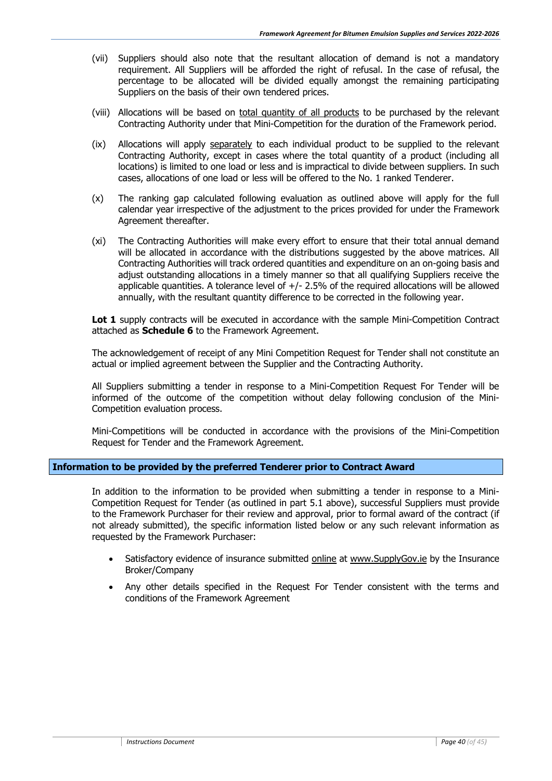- (vii) Suppliers should also note that the resultant allocation of demand is not a mandatory requirement. All Suppliers will be afforded the right of refusal. In the case of refusal, the percentage to be allocated will be divided equally amongst the remaining participating Suppliers on the basis of their own tendered prices.
- (viii) Allocations will be based on total quantity of all products to be purchased by the relevant Contracting Authority under that Mini-Competition for the duration of the Framework period.
- (ix) Allocations will apply separately to each individual product to be supplied to the relevant Contracting Authority, except in cases where the total quantity of a product (including all locations) is limited to one load or less and is impractical to divide between suppliers. In such cases, allocations of one load or less will be offered to the No. 1 ranked Tenderer.
- (x) The ranking gap calculated following evaluation as outlined above will apply for the full calendar year irrespective of the adjustment to the prices provided for under the Framework Agreement thereafter.
- (xi) The Contracting Authorities will make every effort to ensure that their total annual demand will be allocated in accordance with the distributions suggested by the above matrices. All Contracting Authorities will track ordered quantities and expenditure on an on-going basis and adjust outstanding allocations in a timely manner so that all qualifying Suppliers receive the applicable quantities. A tolerance level of +/- 2.5% of the required allocations will be allowed annually, with the resultant quantity difference to be corrected in the following year.

Lot 1 supply contracts will be executed in accordance with the sample Mini-Competition Contract attached as **Schedule 6** to the Framework Agreement.

The acknowledgement of receipt of any Mini Competition Request for Tender shall not constitute an actual or implied agreement between the Supplier and the Contracting Authority.

All Suppliers submitting a tender in response to a Mini-Competition Request For Tender will be informed of the outcome of the competition without delay following conclusion of the Mini-Competition evaluation process.

Mini-Competitions will be conducted in accordance with the provisions of the Mini-Competition Request for Tender and the Framework Agreement.

#### **Information to be provided by the preferred Tenderer prior to Contract Award**

In addition to the information to be provided when submitting a tender in response to a Mini-Competition Request for Tender (as outlined in part 5.1 above), successful Suppliers must provide to the Framework Purchaser for their review and approval, prior to formal award of the contract (if not already submitted), the specific information listed below or any such relevant information as requested by the Framework Purchaser:

- Satisfactory evidence of insurance submitted online at [www.SupplyGov.ie](http://www.supplygov.ie/) by the Insurance Broker/Company
- Any other details specified in the Request For Tender consistent with the terms and conditions of the Framework Agreement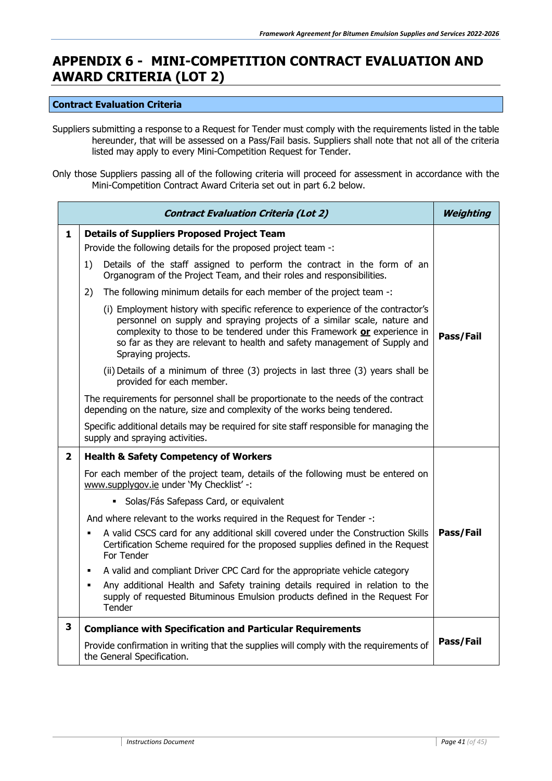### <span id="page-40-0"></span>**APPENDIX 6 - MINI-COMPETITION CONTRACT EVALUATION AND AWARD CRITERIA (LOT 2)**

#### **Contract Evaluation Criteria**

Suppliers submitting a response to a Request for Tender must comply with the requirements listed in the table hereunder, that will be assessed on a Pass/Fail basis. Suppliers shall note that not all of the criteria listed may apply to every Mini-Competition Request for Tender.

Only those Suppliers passing all of the following criteria will proceed for assessment in accordance with the Mini-Competition Contract Award Criteria set out in part 6.2 below.

| <b>Contract Evaluation Criteria (Lot 2)</b> |                                                                                                                                                                                                                                                                                                                                             |           |  |  |
|---------------------------------------------|---------------------------------------------------------------------------------------------------------------------------------------------------------------------------------------------------------------------------------------------------------------------------------------------------------------------------------------------|-----------|--|--|
| $\mathbf{1}$                                | <b>Details of Suppliers Proposed Project Team</b><br>Provide the following details for the proposed project team -:                                                                                                                                                                                                                         |           |  |  |
|                                             | Details of the staff assigned to perform the contract in the form of an<br>1)<br>Organogram of the Project Team, and their roles and responsibilities.                                                                                                                                                                                      |           |  |  |
|                                             | The following minimum details for each member of the project team -:<br>2)                                                                                                                                                                                                                                                                  |           |  |  |
|                                             | (i) Employment history with specific reference to experience of the contractor's<br>personnel on supply and spraying projects of a similar scale, nature and<br>complexity to those to be tendered under this Framework or experience in<br>so far as they are relevant to health and safety management of Supply and<br>Spraying projects. | Pass/Fail |  |  |
|                                             | (ii) Details of a minimum of three (3) projects in last three (3) years shall be<br>provided for each member.                                                                                                                                                                                                                               |           |  |  |
|                                             | The requirements for personnel shall be proportionate to the needs of the contract<br>depending on the nature, size and complexity of the works being tendered.                                                                                                                                                                             |           |  |  |
|                                             | Specific additional details may be required for site staff responsible for managing the<br>supply and spraying activities.                                                                                                                                                                                                                  |           |  |  |
| $\overline{2}$                              | <b>Health &amp; Safety Competency of Workers</b>                                                                                                                                                                                                                                                                                            |           |  |  |
|                                             | For each member of the project team, details of the following must be entered on<br>www.supplygov.ie under 'My Checklist' -:                                                                                                                                                                                                                |           |  |  |
|                                             | · Solas/Fás Safepass Card, or equivalent                                                                                                                                                                                                                                                                                                    |           |  |  |
|                                             | And where relevant to the works required in the Request for Tender -:                                                                                                                                                                                                                                                                       |           |  |  |
|                                             | A valid CSCS card for any additional skill covered under the Construction Skills<br>Certification Scheme required for the proposed supplies defined in the Request<br>For Tender                                                                                                                                                            | Pass/Fail |  |  |
|                                             | A valid and compliant Driver CPC Card for the appropriate vehicle category<br>٠                                                                                                                                                                                                                                                             |           |  |  |
|                                             | Any additional Health and Safety training details required in relation to the<br>٠<br>supply of requested Bituminous Emulsion products defined in the Request For<br>Tender                                                                                                                                                                 |           |  |  |
| 3                                           | <b>Compliance with Specification and Particular Requirements</b>                                                                                                                                                                                                                                                                            |           |  |  |
|                                             | Provide confirmation in writing that the supplies will comply with the requirements of<br>the General Specification.                                                                                                                                                                                                                        | Pass/Fail |  |  |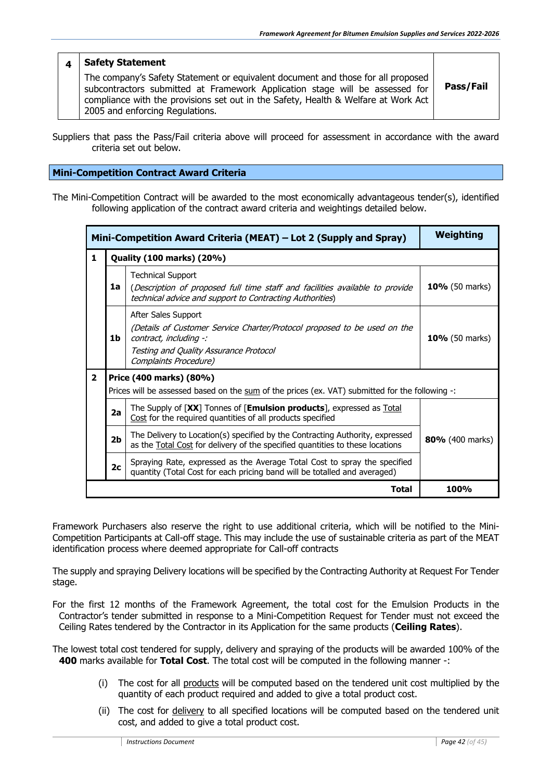#### **4 Safety Statement**

The company's Safety Statement or equivalent document and those for all proposed subcontractors submitted at Framework Application stage will be assessed for compliance with the provisions set out in the Safety, Health & Welfare at Work Act 2005 and enforcing Regulations.

**Pass/Fail**

Suppliers that pass the Pass/Fail criteria above will proceed for assessment in accordance with the award criteria set out below.

#### **Mini-Competition Contract Award Criteria**

The Mini-Competition Contract will be awarded to the most economically advantageous tender(s), identified following application of the contract award criteria and weightings detailed below.

| Mini-Competition Award Criteria (MEAT) – Lot 2 (Supply and Spray) | Weighting                        |                                                                                                                                                                                              |                       |  |  |  |
|-------------------------------------------------------------------|----------------------------------|----------------------------------------------------------------------------------------------------------------------------------------------------------------------------------------------|-----------------------|--|--|--|
| 1                                                                 | <b>Quality (100 marks) (20%)</b> |                                                                                                                                                                                              |                       |  |  |  |
|                                                                   | 1a                               | <b>Technical Support</b><br>10% (50 marks)<br>(Description of proposed full time staff and facilities available to provide<br>technical advice and support to Contracting Authorities)       |                       |  |  |  |
|                                                                   | 1b                               | After Sales Support<br>(Details of Customer Service Charter/Protocol proposed to be used on the<br>contract, including -:<br>Testing and Quality Assurance Protocol<br>Complaints Procedure) | <b>10%</b> (50 marks) |  |  |  |
| $\overline{2}$                                                    | Price (400 marks) (80%)          | Prices will be assessed based on the sum of the prices (ex. VAT) submitted for the following -:                                                                                              |                       |  |  |  |
|                                                                   | 2a                               | The Supply of [XX] Tonnes of [Emulsion products], expressed as Total<br>Cost for the required quantities of all products specified                                                           |                       |  |  |  |
|                                                                   | 2 <sub>b</sub>                   | The Delivery to Location(s) specified by the Contracting Authority, expressed<br>as the <b>Total Cost</b> for delivery of the specified quantities to these locations                        | 80% (400 marks)       |  |  |  |
|                                                                   | 2 <sub>c</sub>                   | Spraying Rate, expressed as the Average Total Cost to spray the specified<br>quantity (Total Cost for each pricing band will be totalled and averaged)                                       |                       |  |  |  |
|                                                                   |                                  | <b>100%</b>                                                                                                                                                                                  |                       |  |  |  |

Framework Purchasers also reserve the right to use additional criteria, which will be notified to the Mini-Competition Participants at Call-off stage. This may include the use of sustainable criteria as part of the MEAT identification process where deemed appropriate for Call-off contracts

The supply and spraying Delivery locations will be specified by the Contracting Authority at Request For Tender stage.

For the first 12 months of the Framework Agreement, the total cost for the Emulsion Products in the Contractor's tender submitted in response to a Mini-Competition Request for Tender must not exceed the Ceiling Rates tendered by the Contractor in its Application for the same products (**Ceiling Rates**).

The lowest total cost tendered for supply, delivery and spraying of the products will be awarded 100% of the **400** marks available for **Total Cost**. The total cost will be computed in the following manner -:

- (i) The cost for all products will be computed based on the tendered unit cost multiplied by the quantity of each product required and added to give a total product cost.
- (ii) The cost for delivery to all specified locations will be computed based on the tendered unit cost, and added to give a total product cost.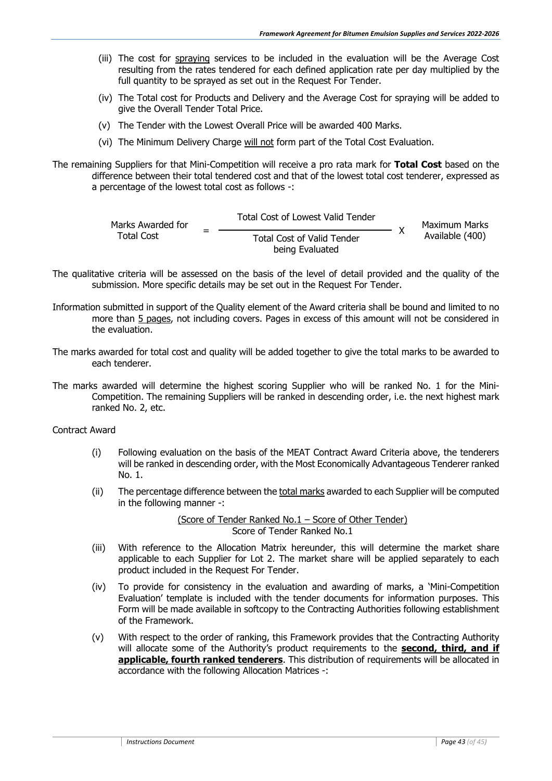- (iii) The cost for spraying services to be included in the evaluation will be the Average Cost resulting from the rates tendered for each defined application rate per day multiplied by the full quantity to be sprayed as set out in the Request For Tender.
- (iv) The Total cost for Products and Delivery and the Average Cost for spraying will be added to give the Overall Tender Total Price.
- (v) The Tender with the Lowest Overall Price will be awarded 400 Marks.
- (vi) The Minimum Delivery Charge will not form part of the Total Cost Evaluation.

The remaining Suppliers for that Mini-Competition will receive a pro rata mark for **Total Cost** based on the difference between their total tendered cost and that of the lowest total cost tenderer, expressed as a percentage of the lowest total cost as follows -:

| Marks Awarded for | <b>Total Cost of Lowest Valid Tender</b> |  | Maximum Marks   |
|-------------------|------------------------------------------|--|-----------------|
| Total Cost        | <b>Total Cost of Valid Tender</b>        |  | Available (400) |
|                   | being Evaluated                          |  |                 |

- The qualitative criteria will be assessed on the basis of the level of detail provided and the quality of the submission. More specific details may be set out in the Request For Tender.
- Information submitted in support of the Quality element of the Award criteria shall be bound and limited to no more than 5 pages, not including covers. Pages in excess of this amount will not be considered in the evaluation.
- The marks awarded for total cost and quality will be added together to give the total marks to be awarded to each tenderer.
- The marks awarded will determine the highest scoring Supplier who will be ranked No. 1 for the Mini-Competition. The remaining Suppliers will be ranked in descending order, i.e. the next highest mark ranked No. 2, etc.

Contract Award

- (i) Following evaluation on the basis of the MEAT Contract Award Criteria above, the tenderers will be ranked in descending order, with the Most Economically Advantageous Tenderer ranked No. 1.
- (ii) The percentage difference between the total marks awarded to each Supplier will be computed in the following manner -:

(Score of Tender Ranked No.1 – Score of Other Tender) Score of Tender Ranked No.1

- (iii) With reference to the Allocation Matrix hereunder, this will determine the market share applicable to each Supplier for Lot 2. The market share will be applied separately to each product included in the Request For Tender.
- (iv) To provide for consistency in the evaluation and awarding of marks, a 'Mini-Competition Evaluation' template is included with the tender documents for information purposes. This Form will be made available in softcopy to the Contracting Authorities following establishment of the Framework.
- (v) With respect to the order of ranking, this Framework provides that the Contracting Authority will allocate some of the Authority's product requirements to the **second, third, and if applicable, fourth ranked tenderers**. This distribution of requirements will be allocated in accordance with the following Allocation Matrices -: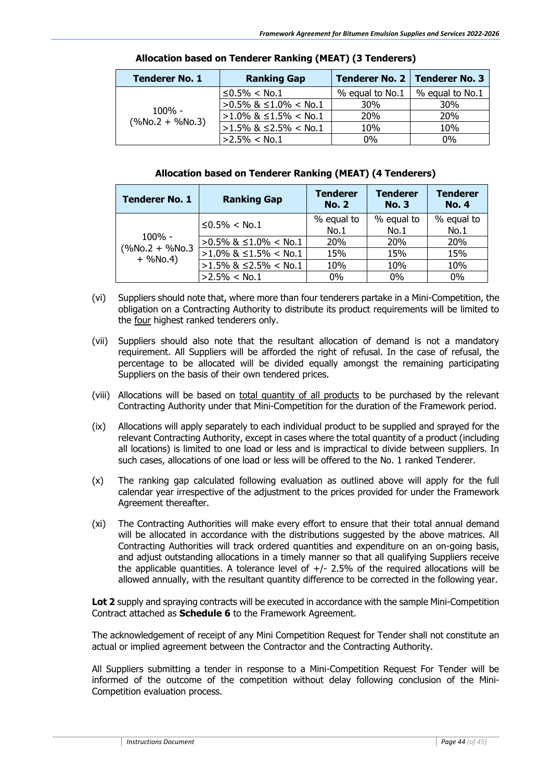| <b>Tenderer No. 1</b> | <b>Ranking Gap</b>   |                 | Tenderer No. 2   Tenderer No. 3 |  |
|-----------------------|----------------------|-----------------|---------------------------------|--|
|                       | $≤0.5% <$ No.1       | % equal to No.1 | % equal to No.1                 |  |
| $100\%$ -             | >0.5% & ≤1.0% < No.1 | <b>30%</b>      | 30%                             |  |
|                       | >1.0% & ≤1.5% < No.1 | <b>20%</b>      | <b>20%</b>                      |  |
| $(\%No.2 + \%No.3)$   | >1.5% & ≤2.5% < No.1 | 10%             | 10%                             |  |
|                       | $>2.5\% <$ No.1      | $0\%$           | $0\%$                           |  |

#### **Allocation based on Tenderer Ranking (MEAT) (3 Tenderers)**

#### **Allocation based on Tenderer Ranking (MEAT) (4 Tenderers)**

| <b>Tenderer No. 1</b>             | <b>Ranking Gap</b>             | <b>Tenderer</b><br><b>No. 2</b> | <b>Tenderer</b><br><b>No. 3</b> | <b>Tenderer</b><br><b>No. 4</b> |
|-----------------------------------|--------------------------------|---------------------------------|---------------------------------|---------------------------------|
|                                   | $≤0.5% <$ No.1                 | % equal to<br>No.1              | % equal to<br>No.1              | % equal to<br>No.1              |
| $100\%$ -                         | $>0.5\%$ & $\leq 1.0\%$ < No.1 | <b>20%</b>                      | <b>20%</b>                      | <b>20%</b>                      |
| $(%$ (%No.2 + %No.3<br>$+$ %No.4) | $>1.0\%$ & $\leq1.5\%$ < No.1  | 15%                             | 15%                             | 15%                             |
|                                   | $>1.5\%$ & $\leq$ 2.5% < No.1  | 10%                             | 10%                             | 10%                             |
|                                   | $>2.5\% <$ No.1                | $0\%$                           | $0\%$                           | 0%                              |

- (vi) Suppliers should note that, where more than four tenderers partake in a Mini-Competition, the obligation on a Contracting Authority to distribute its product requirements will be limited to the four highest ranked tenderers only.
- (vii) Suppliers should also note that the resultant allocation of demand is not a mandatory requirement. All Suppliers will be afforded the right of refusal. In the case of refusal, the percentage to be allocated will be divided equally amongst the remaining participating Suppliers on the basis of their own tendered prices.
- (viii) Allocations will be based on total quantity of all products to be purchased by the relevant Contracting Authority under that Mini-Competition for the duration of the Framework period.
- (ix) Allocations will apply separately to each individual product to be supplied and sprayed for the relevant Contracting Authority, except in cases where the total quantity of a product (including all locations) is limited to one load or less and is impractical to divide between suppliers. In such cases, allocations of one load or less will be offered to the No. 1 ranked Tenderer.
- (x) The ranking gap calculated following evaluation as outlined above will apply for the full calendar year irrespective of the adjustment to the prices provided for under the Framework Agreement thereafter.
- (xi) The Contracting Authorities will make every effort to ensure that their total annual demand will be allocated in accordance with the distributions suggested by the above matrices. All Contracting Authorities will track ordered quantities and expenditure on an on-going basis, and adjust outstanding allocations in a timely manner so that all qualifying Suppliers receive the applicable quantities. A tolerance level of  $+/$ - 2.5% of the required allocations will be allowed annually, with the resultant quantity difference to be corrected in the following year.

**Lot 2** supply and spraying contracts will be executed in accordance with the sample Mini-Competition Contract attached as **Schedule 6** to the Framework Agreement.

The acknowledgement of receipt of any Mini Competition Request for Tender shall not constitute an actual or implied agreement between the Contractor and the Contracting Authority.

All Suppliers submitting a tender in response to a Mini-Competition Request For Tender will be informed of the outcome of the competition without delay following conclusion of the Mini-Competition evaluation process.